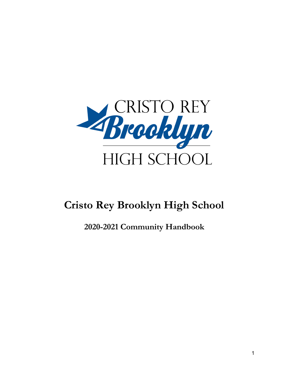

# **Cristo Rey Brooklyn High School**

**2020-2021 Community Handbook**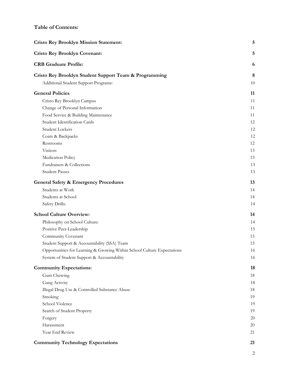# **Table of Contents:**

| <b>Cristo Rey Brooklyn Mission Statement:</b>                           | 5      |
|-------------------------------------------------------------------------|--------|
| <b>Cristo Rey Brooklyn Covenant:</b>                                    | 5      |
| <b>CRB</b> Graduate Profile:                                            | 6      |
| Cristo Rey Brooklyn Student Support Team & Programming                  | 8      |
| Additional Student Support Programs:                                    | 10     |
| <b>General Policies</b>                                                 | 11     |
| Cristo Rey Brooklyn Campus                                              | 11     |
| Change of Personal Information                                          | 11     |
| Food Service & Building Maintenance                                     | 11     |
| Student Identification Cards                                            | 12     |
| Student Lockers                                                         | 12     |
| Coats & Backpacks                                                       | 12     |
| Restrooms                                                               | 12     |
| Visitors                                                                | 13     |
| Medication Policy                                                       | 13     |
| Fundraisers & Collections                                               | 13     |
| <b>Student Passes</b>                                                   | 13     |
| <b>General Safety &amp; Emergency Procedures</b>                        | 13     |
| Students at Work                                                        | 14     |
| Students at School                                                      | 14     |
| Safety Drills:                                                          | 14     |
| <b>School Culture Overview:</b>                                         | 14     |
| Philosophy on School Culture:                                           | 14     |
| Positive Peer-Leadership                                                | 15     |
| Community Covenant                                                      | 15     |
| Student Support & Accountability (SSA) Team                             | 15     |
| Opportunities for Learning & Growing Within School Culture Expectations | 16     |
| System of Student Support & Accountability                              | 16     |
| <b>Community Expectations:</b>                                          | 18     |
| Gum Chewing                                                             | 18     |
| Gang Activity                                                           | 18     |
| Illegal Drug Use & Controlled Substance Abuse                           | 18     |
| Smoking                                                                 | 19     |
| School Violence                                                         | 19     |
| Search of Student Property                                              | 19     |
| Forgery                                                                 | $20\,$ |
| Harassment                                                              | 20     |
| Year End Review                                                         | 21     |
| <b>Community Technology Expectations</b>                                | 21     |

2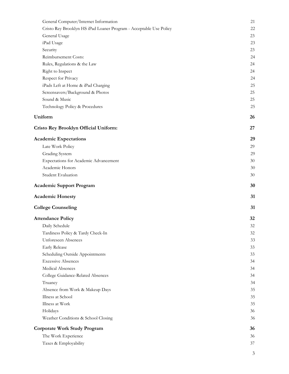| General Computer/Internet Information                              | 21 |
|--------------------------------------------------------------------|----|
| Cristo Rey Brooklyn HS iPad Loaner Program - Acceptable Use Policy | 22 |
| General Usage                                                      | 23 |
| iPad Usage                                                         | 23 |
| Security                                                           | 23 |
| Reimbursement Costs:                                               | 24 |
| Rules, Regulations & the Law                                       | 24 |
| Right to Inspect                                                   | 24 |
| Respect for Privacy                                                | 24 |
| iPads Left at Home & iPad Charging                                 | 25 |
| Screensavers/Background & Photos                                   | 25 |
| Sound & Music                                                      | 25 |
| Technology Policy & Procedures                                     | 25 |
| Uniform                                                            | 26 |
| Cristo Rey Brooklyn Official Uniform:                              | 27 |
| <b>Academic Expectations</b>                                       | 29 |
| Late Work Policy                                                   | 29 |
| Grading System                                                     | 29 |
| Expectations for Academic Advancement                              | 30 |
| Academic Honors                                                    | 30 |
| Student Evaluation                                                 | 30 |
| <b>Academic Support Program</b>                                    | 30 |
| <b>Academic Honesty</b>                                            | 31 |
| <b>College Counseling</b>                                          | 31 |
| <b>Attendance Policy</b>                                           | 32 |
| Daily Schedule                                                     | 32 |
| Tardiness Policy & Tardy Check-In                                  | 32 |
| Unforeseen Absences                                                | 33 |
| <b>Early Release</b>                                               | 33 |
| Scheduling Outside Appointments                                    | 33 |
| <b>Excessive Absences</b>                                          | 34 |
| Medical Absences                                                   | 34 |
| College Guidance-Related Absences                                  | 34 |
| Truancy                                                            | 34 |
| Absence from Work & Makeup Days                                    | 35 |
| Illness at School                                                  | 35 |
| Illness at Work                                                    | 35 |
| Holidays                                                           | 36 |
| Weather Conditions & School Closing                                | 36 |
| Corporate Work Study Program                                       | 36 |
| The Work Experience                                                | 36 |
| Taxes & Employability                                              | 37 |
|                                                                    |    |

3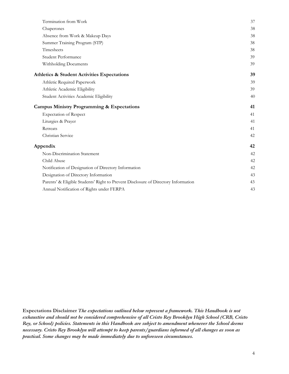| Termination from Work                                                              | 37 |
|------------------------------------------------------------------------------------|----|
| Chaperones                                                                         | 38 |
| Absence from Work & Makeup Days                                                    | 38 |
| Summer Training Program (STP)                                                      | 38 |
| Timesheets                                                                         | 38 |
| <b>Student Performance</b>                                                         | 39 |
| Withholding Documents                                                              | 39 |
| <b>Athletics &amp; Student Activities Expectations</b>                             | 39 |
| Athletic Required Paperwork                                                        | 39 |
| Athletic Academic Eligibility                                                      | 39 |
| Student Activities Academic Eligibility                                            | 40 |
| <b>Campus Ministry Programming &amp; Expectations</b>                              | 41 |
| <b>Expectation of Respect</b>                                                      | 41 |
| Liturgies & Prayer                                                                 | 41 |
| Retreats                                                                           | 41 |
| Christian Service                                                                  | 42 |
| Appendix                                                                           | 42 |
| Non-Discrimination Statement                                                       | 42 |
| Child Abuse                                                                        | 42 |
| Notification of Designation of Directory Information                               | 42 |
| Designation of Directory Information                                               | 43 |
| Parents' & Eligible Students' Right to Prevent Disclosure of Directory Information | 43 |
| Annual Notification of Rights under FERPA                                          | 43 |

**Expectations Disclaimer** *The expectations outlined below represent a framework. This Handbook is not exhaustive and should not be considered comprehensive of all Cristo Rey Brooklyn High School (CRB, Cristo Rey, or School) policies. Statements in this Handbook are subject to amendment whenever the School deems necessary. Cristo Rey Brooklyn will attempt to keep parents/guardians informed of all changes as soon as practical. Some changes may be made immediately due to unforeseen circumstances.*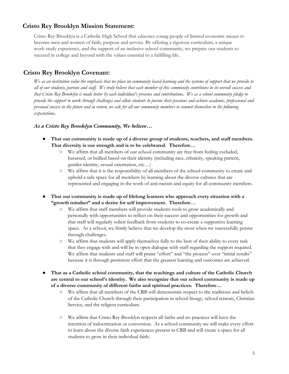# **Cristo Rey Brooklyn Mission Statement:**

Cristo Rey Brooklyn is a Catholic High School that educates young people of limited economic means to become men and women of faith, purpose and service. By offering a rigorous curriculum, a unique work-study experience, and the support of an inclusive school community, we prepare our students to succeed in college and beyond with the values essential to a fulfilling life.

# <span id="page-4-0"></span>**Cristo Rey Brooklyn [Covenant](https://docs.google.com/document/d/1zRL30Rv9RjjBHqogoNaPm0xTzERw-ALf6Eqxl0j9VaQ/edit):**

We as an institution value the emphasis that we place on community based learning and the systems of support that we provide to all of our students, parents and staff. We truly believe that each member of this community contributes to its overall success and that Cristo Rey Brooklyn is made better by each individual's presence and contributions. We as a school community pledge to provide the support to work through challenges and allow students to pursue their passions and achieve academic, professional and personal success in the future and in return, we ask for all our community members to commit themselves to the following *expectations.*

#### *As a Cristo Rey Brooklyn Community, We believe…*

- **● That our community is made up of a diverse group of students, teachers, and staff members. That diversity is our strength and is to be celebrated. Therefore…**
	- We affirm that all members of our school community are free from feeling excluded, harassed, or bullied based on their identity (including race, ethnicity, speaking pattern, gender-identity, sexual orientation, etc…)
	- We affirm that it is the responsibility of all members of the school community to create and uphold a safe space for all members by learning about the diverse cultures that are represented and engaging in the work of anti-racism and equity for all community members.
- **● That our community is made up of lifelong learners who approach every situation with a "growth mindset" and a desire for self improvement. Therefore…**
	- We affirm that staff members will provide students tools to grow academically and personally with opportunities to reflect on their success and opportunities for growth and that staff will regularly solicit feedback from students to co-create a supportive learning space. As a school, we firmly believe that we develop the most when we successfully persist through challenges.
	- We affirm that students will apply themselves fully to the best of their ability to every task that they engage with and will be in open dialogue with staff regarding the support required. We affirm that students and staff will praise "effort" and "the process" over "initial results" because it is through persistent effort that the greatest learning and outcomes are achieved.
- **● That as a Catholic school community, that the teachings and culture of the Catholic Church are central to our school's identity. We also recognize that our school community is made up of a diverse community of different faiths and spiritual practices. Therefore…**
	- We affirm that all members of the CRB will demonstrate respect to the traditions and beliefs of the Catholic Church through their participation in school liturgy, school retreats, Christian Service, and the religion curriculum.
	- We affirm that Cristo Rey Brooklyn respects all faiths and no practices will have the intention of indoctrination or conversion. As a school community we will make every effort to learn about the diverse faith experiences present in CRB and will create a space for all students to grow in their individual faith.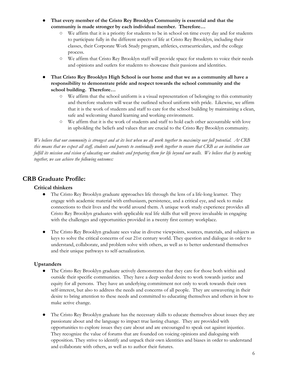- **● That every member of the Cristo Rey Brooklyn Community is essential and that the community is made stronger by each individual member. Therefore…**
	- We affirm that it is a priority for students to be in school on time every day and for students to participate fully in the different aspects of life at Cristo Rey Brooklyn, including their classes, their Corporate Work Study program, athletics, extracurriculars, and the college process.
	- We affirm that Cristo Rey Brooklyn staff will provide space for students to voice their needs and opinions and outlets for students to showcase their passions and identities.
- **● That Cristo Rey Brooklyn High School is our home and that we as a community all have a responsibility to demonstrate pride and respect towards the school community and the school building. Therefore…**
	- We affirm that the school uniform is a visual representation of belonging to this community and therefore students will wear the outlined school uniform with pride. Likewise, we affirm that it is the work of students and staff to care for the school building by maintaining a clean, safe and welcoming shared learning and working environment.
	- We affirm that it is the work of students and staff to hold each other accountable with love in upholding the beliefs and values that are crucial to the Cristo Rey Brooklyn community.

We believe that our community is strongest and at its best when we all work together to maximize our full potential. At CRB this means that we expect all staff, students and parents to continually work together to ensure that CRB as an institution can fulfill its mission and vision of educating our students and preparing them for life beyond our walls. We believe that by working *together, we can achieve the following outcomes:*

# <span id="page-5-0"></span>**CRB Graduate Profile:**

## **Critical thinkers**

- The Cristo Rey Brooklyn graduate approaches life through the lens of a life-long learner. They engage with academic material with enthusiasm, persistence, and a critical eye, and seek to make connections to their lives and the world around them. A unique work study experience provides all Cristo Rey Brooklyn graduates with applicable real life skills that will prove invaluable in engaging with the challenges and opportunities provided in a twenty first century workplace.
- The Cristo Rey Brooklyn graduate sees value in diverse viewpoints, sources, materials, and subjects as keys to solve the critical concerns of our 21st century world. They question and dialogue in order to understand, collaborate, and problem solve with others, as well as to better understand themselves and their unique pathways to self-actualization.

## **Upstanders**

- The Cristo Rey Brooklyn graduate actively demonstrates that they care for those both within and outside their specific communities. They have a deep seeded desire to work towards justice and equity for all persons. They have an underlying commitment not only to work towards their own self-interest, but also to address the needs and concerns of all people. They are unwavering in their desire to bring attention to these needs and committed to educating themselves and others in how to make active change.
- The Cristo Rey Brooklyn graduate has the necessary skills to educate themselves about issues they are passionate about and the language to impact true lasting change. They are provided with opportunities to explore issues they care about and are encouraged to speak out against injustice. They recognize the value of forums that are founded on voicing opinions and dialoguing with opposition. They strive to identify and unpack their own identities and biases in order to understand and collaborate with others, as well as to author their futures.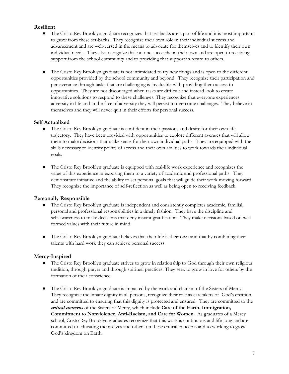## **Resilient**

- The Cristo Rey Brooklyn graduate recognizes that set-backs are a part of life and it is most important to grow from these set-backs. They recognize their own role in their individual success and advancement and are well-versed in the means to advocate for themselves and to identify their own individual needs. They also recognize that no one succeeds on their own and are open to receiving support from the school community and to providing that support in return to others.
- The Cristo Rey Brooklyn graduate is not intimidated to try new things and is open to the different opportunities provided by the school community and beyond. They recognize their participation and perseverance through tasks that are challenging is invaluable with providing them access to opportunities. They are not discouraged when tasks are difficult and instead look to create innovative solutions to respond to these challenges. They recognize that everyone experiences adversity in life and in the face of adversity they will persist to overcome challenges. They believe in themselves and they will never quit in their efforts for personal success.

#### **Self Actualized**

- The Cristo Rey Brooklyn graduate is confident in their passions and desire for their own life trajectory. They have been provided with opportunities to explore different avenues that will allow them to make decisions that make sense for their own individual paths. They are equipped with the skills necessary to identify points of access and their own abilities to work towards their individual goals.
- The Cristo Rey Brooklyn graduate is equipped with real-life work experience and recognizes the value of this experience in exposing them to a variety of academic and professional paths. They demonstrate initiative and the ability to set personal goals that will guide their work moving forward. They recognize the importance of self-reflection as well as being open to receiving feedback.

#### **Personally Responsible**

- The Cristo Rey Brooklyn graduate is independent and consistently completes academic, familial, personal and professional responsibilities in a timely fashion. They have the discipline and self-awareness to make decisions that deny instant gratification. They make decisions based on well formed values with their future in mind.
- The Cristo Rey Brooklyn graduate believes that their life is their own and that by combining their talents with hard work they can achieve personal success.

## **Mercy-Inspired**

- The Cristo Rey Brooklyn graduate strives to grow in relationship to God through their own religious tradition, through prayer and through spiritual practices. They seek to grow in love for others by the formation of their conscience.
- The Cristo Rey Brooklyn graduate is impacted by the work and charism of the Sisters of Mercy. They recognize the innate dignity in all persons, recognize their role as caretakers of God's creation, and are committed to ensuring that this dignity is protected and ensured. They are committed to the *critical concerns* of the Sisters of Mercy, which include **Care of the Earth, Immigration, Commitment to Nonviolence, Anti-Racism, and Care for Women**. As graduates of a Mercy school, Cristo Rey Brooklyn graduates recognize that this work is continuous and life-long and are committed to educating themselves and others on these critical concerns and to working to grow God's kingdom on Earth.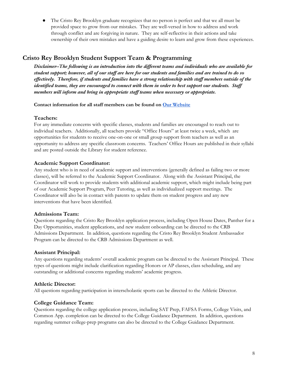The Cristo Rey Brooklyn graduate recognizes that no person is perfect and that we all must be provided space to grow from our mistakes. They are well-versed in how to address and work through conflict and are forgiving in nature. They are self-reflective in their actions and take ownership of their own mistakes and have a guiding desire to learn and grow from these experiences.

# <span id="page-7-0"></span>**Cristo Rey Brooklyn Student Support Team & [Programming](https://docs.google.com/document/d/1eIJHIU_Qe7_JGHJ_oyQVYwt7f0lRq9TopnAddma9b-A/edit)**

*Disclaimer--The following is an introduction into the dif erent teams and individuals who are available for* student support; however, all of our staff are here for our students and families and are trained to do so effectively. Therefore, if students and families have a strong relationship with staff members outside of the *identified teams, they are encouraged to connect with them in order to best support our students. Staf members will inform and bring in appropriate staf teams when necessary or appropriate.*

#### **Contact information for all staff members can be found on Our [Website](https://www.cristoreybrooklyn.org/faculty-and-staff)**

## **Teachers:**

For any immediate concerns with specific classes, students and families are encouraged to reach out to individual teachers. Additionally, all teachers provide "Office Hours" at least twice a week, which are opportunities for students to receive one-on-one or small group support from teachers as well as an opportunity to address any specific classroom concerns. Teachers' Office Hours are published in their syllabi and are posted outside the Library for student reference.

## **Academic Support Coordinator:**

Any student who is in need of academic support and interventions (generally defined as failing two or more classes), will be referred to the Academic Support Coordinator. Along with the Assistant Principal, the Coordinator will work to provide students with additional academic support, which might include being part of our Academic Support Program, Peer Tutoring, as well as individualized support meetings. The Coordinator will also be in contact with parents to update them on student progress and any new interventions that have been identified.

## **Admissions Team:**

Questions regarding the Cristo Rey Brooklyn application process, including Open House Dates, Panther for a Day Opportunities, student applications, and new student onboarding can be directed to the CRB Admissions Department. In addition, questions regarding the Cristo Rey Brooklyn Student Ambassador Program can be directed to the CRB Admissions Department as well.

## **Assistant Principal:**

Any questions regarding students' overall academic program can be directed to the Assistant Principal. These types of questions might include clarification regarding Honors or AP classes, class scheduling, and any outstanding or additional concerns regarding students' academic progress.

## **Athletic Director:**

All questions regarding participation in interscholastic sports can be directed to the Athletic Director.

# **College Guidance Team:**

Questions regarding the college application process, including SAT Prep, FAFSA Forms, College Visits, and Common App. completion can be directed to the College Guidance Department. In addition, questions regarding summer college-prep programs can also be directed to the College Guidance Department.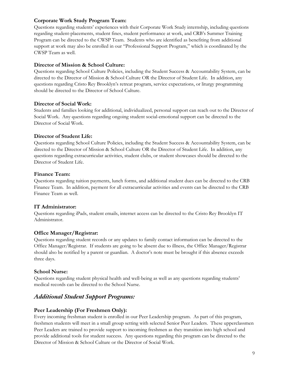## **Corporate Work Study Program Team:**

Questions regarding students' experiences with their Corporate Work Study internship, including questions regarding student-placements, student fines, student performance at work, and CRB's Summer Training Program can be directed to the CWSP Team. Students who are identified as benefiting from additional support at work may also be enrolled in our "Professional Support Program," which is coordinated by the CWSP Team as well.

## **Director of Mission & School Culture:**

Questions regarding School Culture Policies, including the Student Success & Accountability System, can be directed to the Director of Mission & School Culture OR the Director of Student Life. In addition, any questions regarding Cristo Rey Brooklyn's retreat program, service expectations, or liturgy programming should be directed to the Director of School Culture.

## **Director of Social Work:**

Students and families looking for additional, individualized, personal support can reach out to the Director of Social Work. Any questions regarding ongoing student social-emotional support can be directed to the Director of Social Work.

## **Director of Student Life:**

Questions regarding School Culture Policies, including the Student Success & Accountability System, can be directed to the Director of Mission & School Culture OR the Director of Student Life. In addition, any questions regarding extracurricular activities, student clubs, or student showcases should be directed to the Director of Student Life.

## **Finance Team:**

Questions regarding tuition payments, lunch forms, and additional student dues can be directed to the CRB Finance Team. In addition, payment for all extracurricular activities and events can be directed to the CRB Finance Team as well.

## **IT Administrator:**

Questions regarding iPads, student emails, internet access can be directed to the Cristo Rey Brooklyn IT Administrator.

## **Office Manager/Registrar:**

Questions regarding student records or any updates to family contact information can be directed to the Office Manager/Registrar. If students are going to be absent due to illness, the Office Manager/Registrar should also be notified by a parent or guardian. A doctor's note must be brought if this absence exceeds three days.

## **School Nurse:**

Questions regarding student physical health and well-being as well as any questions regarding students' medical records can be directed to the School Nurse.

# <span id="page-8-0"></span>*Additional Student Support Programs:*

## **Peer Leadership (For Freshmen Only):**

Every incoming freshman student is enrolled in our Peer Leadership program. As part of this program, freshmen students will meet in a small group setting with selected Senior Peer Leaders. These upperclassmen Peer Leaders are trained to provide support to incoming freshmen as they transition into high school and provide additional tools for student success. Any questions regarding this program can be directed to the Director of Mission & School Culture or the Director of Social Work.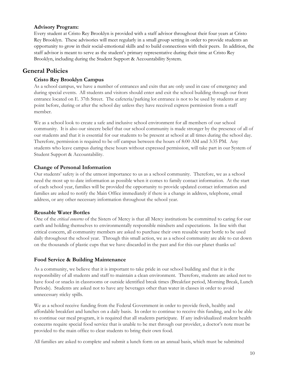#### **Advisory Program:**

Every student at Cristo Rey Brooklyn is provided with a staff advisor throughout their four years at Cristo Rey Brooklyn. These advisories will meet regularly in a small group setting in order to provide students an opportunity to grow in their social-emotional skills and to build connections with their peers. In addition, the staff advisor is meant to serve as the student's primary representative during their time at Cristo Rey Brooklyn, including during the Student Support & Accountability System.

# <span id="page-9-0"></span>**General Policies**

## <span id="page-9-1"></span>**Cristo Rey Brooklyn Campus**

As a school campus, we have a number of entrances and exits that are only used in case of emergency and during special events. All students and visitors should enter and exit the school building through our front entrance located on E. 37th Street. The cafeteria/parking lot entrance is not to be used by students at any point before, during or after the school day unless they have received express permission from a staff member.

We as a school look to create a safe and inclusive school environment for all members of our school community. It is also our sincere belief that our school community is made stronger by the presence of all of our students and that it is essential for our students to be present at school at all times during the school day. Therefore, permission is required to be off campus between the hours of 8:00 AM and 3:35 PM. Any students who leave campus during these hours without expressed permission, will take part in our System of Student Support & Accountability.

#### <span id="page-9-2"></span>**Change of Personal Information**

Our students' safety is of the utmost importance to us as a school community. Therefore, we as a school need the most up to date information as possible when it comes to family contact information. At the start of each school year, families will be provided the opportunity to provide updated contact information and families are asked to notify the Main Office immediately if there is a change in address, telephone, email address, or any other necessary information throughout the school year.

#### **Reusable Water Bottles**

One of the *critical concerns* of the Sisters of Mercy is that all Mercy institutions be committed to caring for our earth and holding themselves to environmentally responsible mindsets and expectations. In line with that critical concern, all community members are asked to purchase their own reusable water bottle to be used daily throughout the school year. Through this small action, we as a school community are able to cut down on the thousands of plastic cups that we have discarded in the past and for this our planet thanks us!

## <span id="page-9-3"></span>**Food Service & Building Maintenance**

As a community, we believe that it is important to take pride in our school building and that it is the responsibility of all students and staff to maintain a clean environment. Therefore, students are asked not to have food or snacks in classrooms or outside identified break times (Breakfast period, Morning Break, Lunch Periods). Students are asked not to have any beverages other than water in classes in order to avoid unnecessary sticky spills.

We as a school receive funding from the Federal Government in order to provide fresh, healthy and affordable breakfast and lunches on a daily basis. In order to continue to receive this funding, and to be able to continue our meal program, it is required that all students participate. If any individualized student health concerns require special food service that is unable to be met through our provider, a doctor's note must be provided to the main office to clear students to bring their own food.

All families are asked to complete and submit a lunch form on an annual basis, which must be submitted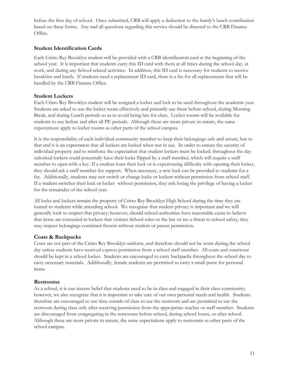before the first day of school. Once submitted, CRB will apply a deduction to the family's lunch contribution based on these forms. Any and all questions regarding this service should be directed to the CRB Finance Office.

## <span id="page-10-0"></span>**Student Identification Cards**

Each Cristo Rey Brooklyn student will be provided with a CRB identification card at the beginning of the school year. It is important that students carry this ID card with them at all times during the school day, at work, and during any School related activities. In addition, this ID card is necessary for students to receive breakfast and lunch. If students need a replacement ID card, there is a fee for all replacements that will be handled by the CRB Finance Office.

## **Student Lockers**

Each Cristo Rey Brooklyn student will be assigned a locker and lock to be used throughout the academic year. Students are asked to use the locker room effectively and primarily use them before school, during Morning Break, and during Lunch periods so as to avoid being late for class. Locker rooms will be available for students to use before and after all PE periods. Although these are more private in nature, the same expectations apply to locker rooms as other parts of the school campus.

It is the responsibility of each individual community member to keep their belongings safe and secure, but to that end it is an expectation that all lockers are locked when not in use. In order to ensure the security of individual property and to reinforce the expectation that student lockers must be locked, throughout the day unlocked lockers could potentially have their locks flipped by a staff member, which will require a staff member to open with a key. If a student loses their lock or is experiencing difficulty with opening their locker, they should ask a staff member for support. When necessary, a new lock can be provided to students for a fee. Additionally, students may not switch or change locks or lockers without permission from school staff. If a student switches their lock or locker without permission, they risk losing the privilege of having a locker for the remainder of the school year.

All locks and lockers remain the property of Cristo Rey Brooklyn High School during the time they are loaned to students while attending school. We recognize that student privacy is important and we will generally look to respect that privacy; however, should school authorities have reasonable cause to believe that items are concealed in lockers that violates School rules or the law or are a threat to school safety, they may inspect belongings contained therein without student or parent permission.

## **Coats & Backpacks**

Coats are not part of the Cristo Rey Brooklyn uniform, and therefore should not be worn during the school day unless students have received express permission from a school staff member. All coats and outerwear should be kept in a school locker. Students are encouraged to carry backpacks throughout the school day to carry necessary materials. Additionally, female students are permitted to carry a small purse for personal items.

## **Restrooms**

As a school, it is our sincere belief that students need to be in class and engaged in their class community; however, we also recognize that it is important to take care of our own personal needs and health. Students therefore are encouraged to use time outside of class to use the restroom and are permitted to use the restroom during class only after receiving permission from the appropriate teacher or staff member. Students are discouraged from congregating in the restrooms before school, during school hours, or after school. Although these are more private in nature, the same expectations apply to restrooms as other parts of the school campus.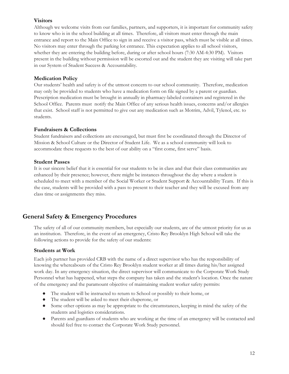## **Visitors**

Although we welcome visits from our families, partners, and supporters, it is important for community safety to know who is in the school building at all times. Therefore, all visitors must enter through the main entrance and report to the Main Office to sign in and receive a visitor pass, which must be visible at all times. No visitors may enter through the parking lot entrance. This expectation applies to all school visitors, whether they are entering the building before, during or after school hours (7:30 AM-4:30 PM). Visitors present in the building without permission will be escorted out and the student they are visiting will take part in our System of Student Success & Accountability.

## **Medication Policy**

Our students' health and safety is of the utmost concern to our school community. Therefore, medication may only be provided to students who have a medication form on file signed by a parent or guardian. Prescription medication must be brought in annually in pharmacy-labeled containers and registered in the School Office. Parents must notify the Main Office of any serious health issues, concerns and/or allergies that exist. School staff is not permitted to give out any medication such as Motrim, Advil, Tylenol, etc. to students.

## **Fundraisers & Collections**

Student fundraisers and collections are encouraged, but must first be coordinated through the Director of Mission & School Culture or the Director of Student Life. We as a school community will look to accommodate these requests to the best of our ability on a "first come, first serve" basis.

#### **Student Passes**

It is our sincere belief that it is essential for our students to be in class and that their class communities are enhanced by their presence; however, there might be instances throughout the day where a student is scheduled to meet with a member of the Social Worker or Student Support & Accountability Team. If this is the case, students will be provided with a pass to present to their teacher and they will be excused from any class time or assignments they miss.

# <span id="page-11-0"></span>**General Safety & Emergency Procedures**

The safety of all of our community members, but especially our students, are of the utmost priority for us as an institution. Therefore, in the event of an emergency, Cristo Rey Brooklyn High School will take the following actions to provide for the safety of our students:

## **Students at Work**

Each job partner has provided CRB with the name of a direct supervisor who has the responsibility of knowing the whereabouts of the Cristo Rey Brooklyn student worker at all times during his/her assigned work day. In any emergency situation, the direct supervisor will communicate to the Corporate Work Study Personnel what has happened, what steps the company has taken and the student's location. Once the nature of the emergency and the paramount objective of maintaining student worker safety permits:

- The student will be instructed to return to School or possibly to their home, or
- The student will be asked to meet their chaperone, or
- Some other options as may be appropriate to the circumstances, keeping in mind the safety of the students and logistics considerations.
- Parents and guardians of students who are working at the time of an emergency will be contacted and should feel free to contact the Corporate Work Study personnel.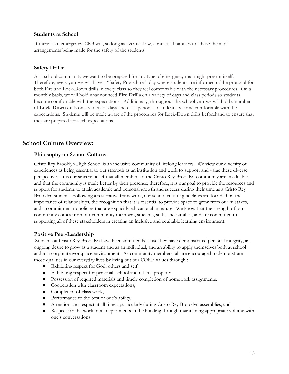#### **Students at School**

If there is an emergency, CRB will, so long as events allow, contact all families to advise them of arrangements being made for the safety of the students.

#### **Safety Drills:**

As a school community we want to be prepared for any type of emergency that might present itself. Therefore, every year we will have a "Safety Procedures" day where students are informed of the protocol for both Fire and Lock-Down drills in every class so they feel comfortable with the necessary procedures. On a monthly basis, we will hold unannounced **Fire Drills** on a variety of days and class periods so students become comfortable with the expectations. Additionally, throughout the school year we will hold a number of **Lock-Down** drills on a variety of days and class periods so students become comfortable with the expectations. Students will be made aware of the procedures for Lock-Down drills beforehand to ensure that they are prepared for such expectations.

# <span id="page-12-0"></span>**School Culture Overview:**

#### <span id="page-12-1"></span>**Philosophy on School Culture:**

Cristo Rey Brooklyn High School is an inclusive community of lifelong learners. We view our diversity of experiences as being essential to our strength as an institution and work to support and value these diverse perspectives. It is our sincere belief that all members of the Cristo Rey Brooklyn community are invaluable and that the community is made better by their presence; therefore, it is our goal to provide the resources and support for students to attain academic and personal growth and success during their time as a Cristo Rey Brooklyn student. Following a restorative framework, our school culture guidelines are founded on the importance of relationships, the recognition that it is essential to provide space to grow from our mistakes, and a commitment to policies that are explicitly educational in nature. We know that the strength of our community comes from our community members, students, staff, and families, and are committed to supporting all of these stakeholders in creating an inclusive and equitable learning environment.

#### **Positive Peer-Leadership**

Students at Cristo Rey Brooklyn have been admitted because they have demonstrated personal integrity, an ongoing desire to grow as a student and as an individual, and an ability to apply themselves both at school and in a corporate workplace environment. As community members, all are encouraged to demonstrate those qualities in our everyday lives by living out our CORE values through :

- Exhibiting respect for God, others and self,
- Exhibiting respect for personal, school and others' property,
- Possession of required materials and timely completion of homework assignments,
- Cooperation with classroom expectations,
- Completion of class work,
- Performance to the best of one's ability,
- Attention and respect at all times, particularly during Cristo Rey Brooklyn assemblies, and
- Respect for the work of all departments in the building through maintaining appropriate volume with one's conversations.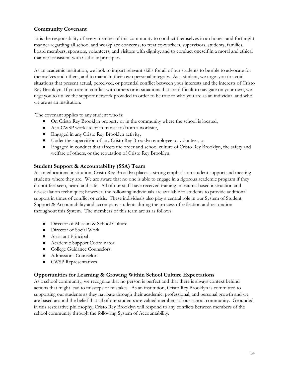# <span id="page-13-0"></span>**Community Covenant**

It is the responsibility of every member of this community to conduct themselves in an honest and forthright manner regarding all school and workplace concerns; to treat co-workers, supervisors, students, families, board members, sponsors, volunteers, and visitors with dignity; and to conduct oneself in a moral and ethical manner consistent with Catholic principles.

As an academic institution, we look to impart relevant skills for all of our students to be able to advocate for themselves and others, and to maintain their own personal integrity. As a student, we urge you to avoid situations that present actual, perceived, or potential conflict between your interests and the interests of Cristo Rey Brooklyn. If you are in conflict with others or in situations that are difficult to navigate on your own, we urge you to utilize the support network provided in order to be true to who you are as an individual and who we are as an institution.

The covenant applies to any student who is:

- On Cristo Rey Brooklyn property or in the community where the school is located,
- At a CWSP worksite or in transit to/from a worksite,
- Engaged in any Cristo Rey Brooklyn activity,
- Under the supervision of any Cristo Rey Brooklyn employee or volunteer, or
- Engaged in conduct that affects the order and school culture of Cristo Rey Brooklyn, the safety and welfare of others, or the reputation of Cristo Rey Brooklyn.

## **Student Support & Accountability (SSA) Team**

As an educational institution, Cristo Rey Brooklyn places a strong emphasis on student support and meeting students where they are. We are aware that no one is able to engage in a rigorous academic program if they do not feel seen, heard and safe. All of our staff have received training in trauma-based instruction and de-escalation techniques; however, the following individuals are available to students to provide additional support in times of conflict or crisis. These individuals also play a central role in our System of Student Support & Accountability and accompany students during the process of reflection and restoration throughout this System. The members of this team are as as follows:

- Director of Mission & School Culture
- Director of Social Work
- Assistant Principal
- Academic Support Coordinator
- College Guidance Counselors
- Admissions Counselors
- CWSP Representatives

## **Opportunities for Learning & Growing Within School Culture Expectations**

As a school community, we recognize that no person is perfect and that there is always context behind actions that might lead to missteps or mistakes. As an institution, Cristo Rey Brooklyn is committed to supporting our students as they navigate through their academic, professional, and personal growth and we are based around the belief that all of our students are valued members of our school community. Grounded in this restorative philosophy, Cristo Rey Brooklyn will respond to any conflicts between members of the school community through the following System of Accountability.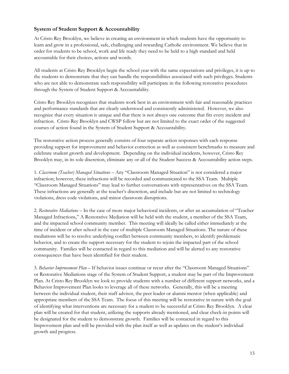## <span id="page-14-0"></span>**System of Student Support & Accountability**

At Cristo Rey Brooklyn, we believe in creating an environment in which students have the opportunity to learn and grow in a professional, safe, challenging and rewarding Catholic environment. We believe that in order for students to be school, work and life ready they need to be held to a high standard and held accountable for their choices, actions and words.

All students at Cristo Rey Brooklyn begin the school year with the same expectations and privileges, it is up to the students to demonstrate that they can handle the responsibilities associated with such privileges. Students who are not able to demonstrate such responsibility will participate in the following restorative procedures through the System of Student Support & Accountability.

Cristo Rey Brooklyn recognizes that students work best in an environment with fair and reasonable practices and performance standards that are clearly understood and consistently administered. However, we also recognize that every situation is unique and that there is not always one outcome that fits every incident and infraction. Cristo Rey Brooklyn and CWSP follow but are not limited to the exact order of the suggested courses of action found in the System of Student Support & Accountability.

The restorative action process generally consists of four separate action responses with each response providing support for improvement and behavior correction as well as consistent benchmarks to measure and celebrate student growth and development. Depending on the individual incidents, however, Cristo Rey Brooklyn may, in its sole discretion, eliminate any or all of the Student Success & Accountability action steps.

1. *Classroom (Teacher) Managed Situations* – Any "Classroom Managed Situation" is not considered a major infraction; however, these infractions will be recorded and communicated to the SSA Team. Multiple "Classroom Managed Situations" may lead to further conversations with representatives on the SSA Team. These infractions are generally at the teacher's discretion, and include but are not limited to technology violations, dress code violations, and minor classroom disruptions.

2. *Restorative Mediations* – In the case of more major behavioral incidents, or after an accumulation of "Teacher Managed Infractions," A Restorative Mediation will be held with the student, a member of the SSA Team, and the impacted school community member. This meeting will ideally be called either immediately at the time of incident or after school in the case of multiple Classroom Managed Situations. The nature of these mediations will be to resolve underlying conflict between community members, to identify problematic behavior, and to create the support necessary for the student to rejoin the impacted part of the school community. Families will be contacted in regard to this mediation and will be alerted to any restorative consequences that have been identified for their student.

3. *Behavior Improvement Plan* – If behavior issues continue or recur after the "Classroom Managed Situations" or Restorative Mediations stage of the System of Student Support, a student may be part of the Improvement Plan. At Cristo Rey Brooklyn we look to provide students with a number of different support networks, and a Behavior Improvement Plan looks to leverage all of these networks. Generally, this will be a meeting between the individual student, their staff advisor, the peer leader or alumni mentor (when applicable) and appropriate members of the SSA Team. The focus of this meeting will be restorative in nature with the goal of identifying what interventions are necessary for a student to be successful at Cristo Rey Brooklyn. A clear plan will be created for that student, utilizing the supports already mentioned, and clear check-in points will be designated for the student to demonstrate growth. Families will be contacted in regard to this Improvement plan and will be provided with the plan itself as well as updates on the student's individual growth and progress.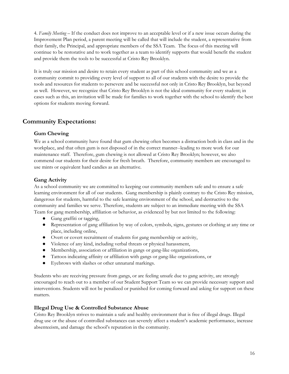4. *Family Meeting* – If the conduct does not improve to an acceptable level or if a new issue occurs during the Improvement Plan period, a parent meeting will be called that will include the student, a representative from their family, the Principal, and appropriate members of the SSA Team. The focus of this meeting will continue to be restorative and to work together as a team to identify supports that would benefit the student and provide them the tools to be successful at Cristo Rey Brooklyn.

It is truly our mission and desire to retain every student as part of this school community and we as a community commit to providing every level of support to all of our students with the desire to provide the tools and resources for students to persevere and be successful not only in Cristo Rey Brooklyn, but beyond as well. However, we recognize that Cristo Rey Brooklyn is not the ideal community for every student; in cases such as this, an invitation will be made for families to work together with the school to identify the best options for students moving forward.

# <span id="page-15-0"></span>**Community Expectations:**

## **Gum Chewing**

We as a school community have found that gum chewing often becomes a distraction both in class and in the workplace, and that often gum is not disposed of in the correct manner--leading to more work for our maintenance staff. Therefore, gum chewing is not allowed at Cristo Rey Brooklyn; however, we also commend our students for their desire for fresh breath. Therefore, community members are encouraged to use mints or equivalent hard candies as an alternative.

#### **Gang Activity**

As a school community we are committed to keeping our community members safe and to ensure a safe learning environment for all of our students. Gang membership is plainly contrary to the Cristo Rey mission, dangerous for students, harmful to the safe learning environment of the school, and destructive to the community and families we serve. Therefore, students are subject to an immediate meeting with the SSA Team for gang membership, affiliation or behavior, as evidenced by but not limited to the following:

- Gang graffiti or tagging,
- Representation of gang affiliation by way of colors, symbols, signs, gestures or clothing at any time or place, including online,
- Overt or covert recruitment of students for gang membership or activity,
- Violence of any kind, including verbal threats or physical harassment,
- Membership, association or affiliation in gangs or gang-like organizations,
- Tattoos indicating affinity or affiliation with gangs or gang-like organizations, or
- Eyebrows with slashes or other unnatural markings.

Students who are receiving pressure from gangs, or are feeling unsafe due to gang activity, are strongly encouraged to reach out to a member of our Student Support Team so we can provide necessary support and interventions. Students will not be penalized or punished for coming forward and asking for support on these matters.

## **Illegal Drug Use & Controlled Substance Abuse**

Cristo Rey Brooklyn strives to maintain a safe and healthy environment that is free of illegal drugs. Illegal drug use or the abuse of controlled substances can severely affect a student's academic performance, increase absenteeism, and damage the school's reputation in the community.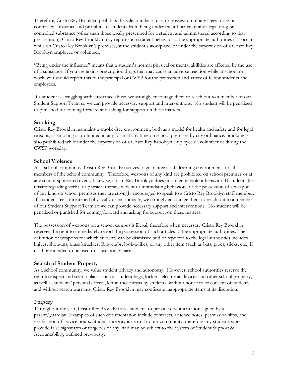Therefore, Cristo Rey Brooklyn prohibits the sale, purchase, use, or possession of any illegal drug or controlled substance and prohibits its students from being under the influence of any illegal drug or controlled substance (other than those legally prescribed for a student and administered according to that prescription). Cristo Rey Brooklyn may report such student behavior to the appropriate authorities if it occurs while on Cristo Rey Brooklyn's premises, at the student's workplace, or under the supervision of a Cristo Rey Brooklyn employee or volunteer.

"Being under the influence" means that a student's normal physical or mental abilities are affected by the use of a substance. If you are taking prescription drugs that may cause an adverse reaction while at school or work, you should report this to the principal or CWSP for the protection and safety of fellow students and employees.

If a student is struggling with substance abuse, we strongly encourage them to reach out to a member of our Student Support Team so we can provide necessary support and interventions. No student will be penalized or punished for coming forward and asking for support on these matters.

#### **Smoking**

Cristo Rey Brooklyn maintains a smoke-free environment, both as a model for health and safety and for legal reasons, as smoking is prohibited in any form at any time on school premises by city ordinance. Smoking is also prohibited while under the supervision of a Cristo Rey Brooklyn employee or volunteer or during the CWSP workday.

#### **School Violence**

As a school community, Cristo Rey Brooklyn strives to guarantee a safe learning environment for all members of the school community. Therefore, weapons of any kind are prohibited on school premises or at any school-sponsored event. Likewise, Cristo Rey Brooklyn does not tolerate violent behavior. If students feel unsafe regarding verbal or physical threats, violent or intimidating behaviors, or the possession of a weapon of any kind on school premises they are strongly encouraged to speak to a Cristo Rey Brooklyn staff member. If a student feels threatened physically or emotionally, we strongly encourage them to reach out to a member of our Student Support Team so we can provide necessary support and interventions. No student will be penalized or punished for coming forward and asking for support on these matters.

The possession of weapons on a school campus is illegal, therefore when necessary Cristo Rey Brooklyn reserves the right to immediately report the possession of such articles to the appropriate authorities. The definition of weapons for which students can be dismissed and or reported to the legal authorities includes knives, shotguns, brass knuckles, Billy clubs, look-a-likes, or any other item (such as bats, pipes, sticks, etc.) if used or intended to be used to cause bodily harm.

#### **Search of Student Property**

As a school community, we value student privacy and autonomy. However, school authorities reserve the right to inspect and search places such as student bags, lockers, electronic devices and other school property, as well as students' personal effects, left in those areas by students, without notice to or consent of students and without search warrants. Cristo Rey Brooklyn may confiscate inappropriate items at its discretion.

#### **Forgery**

Throughout the year, Cristo Rey Brooklyn asks students to provide documentation signed by a parent/guardian. Examples of such documentation include contracts, absence notes, permission slips, and verification of service hours. Student integrity is central to our community, therefore any students who provide false signatures or forgeries of any kind may be subject to the System of Student Support & Accountability, outlined previously.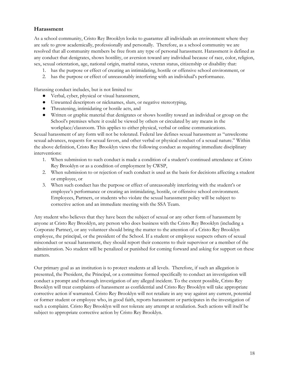## <span id="page-17-0"></span>**Harassment**

As a school community, Cristo Rey Brooklyn looks to guarantee all individuals an environment where they are safe to grow academically, professionally and personally. Therefore, as a school community we are resolved that all community members be free from any type of personal harassment. Harassment is defined as any conduct that denigrates, shows hostility, or aversion toward any individual because of race, color, religion, sex, sexual orientation, age, national origin, marital status, veteran status, citizenship or disability that:

- 1. has the purpose or effect of creating an intimidating, hostile or offensive school environment, or
- 2. has the purpose or effect of unreasonably interfering with an individual's performance.

Harassing conduct includes, but is not limited to:

- Verbal, cyber, physical or visual harassment,
- Unwanted descriptors or nicknames, slurs, or negative stereotyping,
- Threatening, intimidating or hostile acts, and
- Written or graphic material that denigrates or shows hostility toward an individual or group on the School's premises where it could be viewed by others or circulated by any means in the workplace/classroom. This applies to either physical, verbal or online communications.

Sexual harassment of any form will not be tolerated. Federal law defines sexual harassment as "unwelcome sexual advances, requests for sexual favors, and other verbal or physical conduct of a sexual nature." Within the above definition, Cristo Rey Brooklyn views the following conduct as requiring immediate disciplinary interventions:

- 1. When submission to such conduct is made a condition of a student's continued attendance at Cristo Rey Brooklyn or as a condition of employment by CWSP,
- 2. When submission to or rejection of such conduct is used as the basis for decisions affecting a student or employee, or
- 3. When such conduct has the purpose or effect of unreasonably interfering with the student's or employee's performance or creating an intimidating, hostile, or offensive school environment. Employees, Partners, or students who violate the sexual harassment policy will be subject to corrective action and an immediate meeting with the SSA Team.

Any student who believes that they have been the subject of sexual or any other form of harassment by anyone at Cristo Rey Brooklyn, any person who does business with the Cristo Rey Brooklyn (including a Corporate Partner), or any volunteer should bring the matter to the attention of a Cristo Rey Brooklyn employee, the principal, or the president of the School. If a student or employee suspects others of sexual misconduct or sexual harassment, they should report their concerns to their supervisor or a member of the administration. No student will be penalized or punished for coming forward and asking for support on these matters.

Our primary goal as an institution is to protect students at all levels. Therefore, if such an allegation is presented, the President, the Principal, or a committee formed specifically to conduct an investigation will conduct a prompt and thorough investigation of any alleged incident. To the extent possible, Cristo Rey Brooklyn will treat complaints of harassment as confidential and Cristo Rey Brooklyn will take appropriate corrective action if warranted. Cristo Rey Brooklyn will not retaliate in any way against any current, potential or former student or employee who, in good faith, reports harassment or participates in the investigation of such a complaint. Cristo Rey Brooklyn will not tolerate any attempt at retaliation. Such actions will itself be subject to appropriate corrective action by Cristo Rey Brooklyn.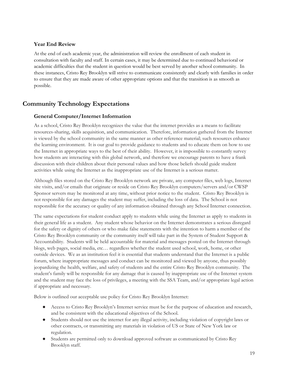## <span id="page-18-0"></span>**Year End Review**

At the end of each academic year, the administration will review the enrollment of each student in consultation with faculty and staff. In certain cases, it may be determined due to continued behavioral or academic difficulties that the student in question would be best served by another school community. In these instances, Cristo Rey Brooklyn will strive to communicate consistently and clearly with families in order to ensure that they are made aware of other appropriate options and that the transition is as smooth as possible.

# <span id="page-18-1"></span>**Community Technology Expectations**

## <span id="page-18-2"></span>**General Computer/Internet Information**

As a school, Cristo Rey Brooklyn recognizes the value that the internet provides as a means to facilitate resources-sharing, skills acquisition, and communication. Therefore, information gathered from the Internet is viewed by the school community in the same manner as other reference material; such resources enhance the learning environment. It is our goal to provide guidance to students and to educate them on how to use the Internet in appropriate ways to the best of their ability. However, it is impossible to constantly survey how students are interacting with this global network, and therefore we encourage parents to have a frank discussion with their children about their personal values and how those beliefs should guide student activities while using the Internet as the inappropriate use of the Internet is a serious matter.

Although files stored on the Cristo Rey Brooklyn network are private, any computer files, web logs, Internet site visits, and/or emails that originate or reside on Cristo Rey Brooklyn computers/servers and/or CWSP Sponsor servers may be monitored at any time, without prior notice to the student. Cristo Rey Brooklyn is not responsible for any damages the student may suffer, including the loss of data. The School is not responsible for the accuracy or quality of any information obtained through any School Internet connection.

The same expectations for student conduct apply to students while using the Internet as apply to students in their general life as a student. Any student whose behavior on the Internet demonstrates a serious disregard for the safety or dignity of others or who make false statements with the intention to harm a member of the Cristo Rey Brooklyn community or the community itself will take part in the System of Student Support & Accountability. Students will be held accountable for material and messages posted on the Internet through blogs, web pages, social media, etc… regardless whether the student used school, work, home, or other outside devices. We as an institution feel it is essential that students understand that the Internet is a public forum, where inappropriate messages and conduct can be monitored and viewed by anyone, thus possibly jeopardizing the health, welfare, and safety of students and the entire Cristo Rey Brooklyn community. The student's family will be responsible for any damage that is caused by inappropriate use of the Internet system and the student may face the loss of privileges, a meeting with the SSA Team, and/or appropriate legal action if appropriate and necessary.

Below is outlined our acceptable use policy for Cristo Rey Brooklyn Internet:

- Access to Cristo Rey Brooklyn's Internet service must be for the purpose of education and research, and be consistent with the educational objectives of the School.
- Students should not use the internet for any illegal activity, including violation of copyright laws or other contracts, or transmitting any materials in violation of US or State of New York law or regulation.
- Students are permitted only to download approved software as communicated by Cristo Rey Brooklyn staff.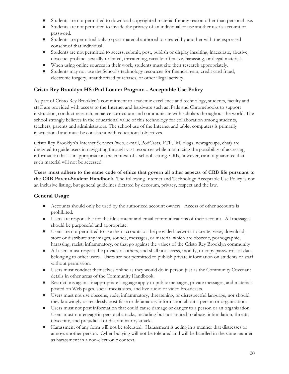- Students are not permitted to download copyrighted material for any reason other than personal use.
- Students are not permitted to invade the privacy of an individual or use another user's account or password.
- Students are permitted only to post material authored or created by another with the expressed consent of that individual.
- Students are not permitted to access, submit, post, publish or display insulting, inaccurate, abusive, obscene, profane, sexually-oriented, threatening, racially-offensive, harassing, or illegal material.
- When using online sources in their work, students must cite their research appropriately.
- Students may not use the School's technology resources for financial gain, credit card fraud, electronic forgery, unauthorized purchases, or other illegal activity.

## <span id="page-19-0"></span>**Cristo Rey Brooklyn HS iPad Loaner Program - Acceptable Use Policy**

As part of Cristo Rey Brooklyn's commitment to academic excellence and technology, students, faculty and staff are provided with access to the Internet and hardware such as iPads and Chromebooks to support instruction, conduct research, enhance curriculum and communicate with scholars throughout the world. The school strongly believes in the educational value of this technology for collaboration among students, teachers, parents and administrators. The school use of the Internet and tablet computers is primarily instructional and must be consistent with educational objectives.

Cristo Rey Brooklyn's Internet Services (web, e-mail, PodCasts, FTP, IM, blogs, newsgroups, chat) are designed to guide users in navigating through vast resources while minimizing the possibility of accessing information that is inappropriate in the context of a school setting. CRB, however, cannot guarantee that such material will not be accessed.

Users must adhere to the same code of ethics that govern all other aspects of CRB life pursuant to **the CRB Parent-Student Handbook.** The following Internet and Technology Acceptable Use Policy is not an inclusive listing, but general guidelines dictated by decorum, privacy, respect and the law.

## <span id="page-19-1"></span>**General Usage**

- Accounts should only be used by the authorized account owners. Access of other accounts is prohibited.
- Users are responsible for the file content and email communications of their account. All messages should be purposeful and appropriate.
- Users are not permitted to use their accounts or the provided network to create, view, download, store or distribute any images, sounds, messages, or material which are obscene, pornographic, harassing, racist, inflammatory, or that go against the values of the Cristo Rey Brooklyn community
- All users must respect the privacy of others, and shall not access, modify, or copy passwords of data belonging to other users. Users are not permitted to publish private information on students or staff without permission.
- Users must conduct themselves online as they would do in person just as the Community Covenant details in other areas of the Community Handbook.
- Restrictions against inappropriate language apply to public messages, private messages, and materials posted on Web pages, social media sites, and live audio or video broadcasts.
- Users must not use obscene, rude, inflammatory, threatening, or disrespectful language, nor should they knowingly or recklessly post false or defamatory information about a person or organization.
- Users must not post information that could cause damage or danger to a person or an organization. Users must not engage in personal attacks, including but not limited to abuse, intimidation, threats, obscenity, and prejudicial or discriminatory attacks.
- Harassment of any form will not be tolerated. Harassment is acting in a manner that distresses or annoys another person. Cyber-bullying will not be tolerated and will be handled in the same manner as harassment in a non-electronic context.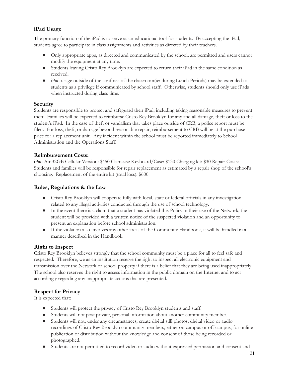## <span id="page-20-0"></span>**iPad Usage**

The primary function of the iPad is to serve as an educational tool for students. By accepting the iPad, students agree to participate in class assignments and activities as directed by their teachers.

- Only appropriate apps, as directed and communicated by the school, are permitted and users cannot modify the equipment at any time.
- Students leaving Cristo Rey Brooklyn are expected to return their iPad in the same condition as received.
- iPad usage outside of the confines of the classroom(ie: during Lunch Periods) may be extended to students as a privilege if communicated by school staff. Otherwise, students should only use iPads when instructed during class time.

#### **Security**

Students are responsible to protect and safeguard their iPad, including taking reasonable measures to prevent theft. Families will be expected to reimburse Cristo Rey Brooklyn for any and all damage, theft or loss to the student's iPad. In the case of theft or vandalism that takes place outside of CRB, a police report must be filed. For loss, theft, or damage beyond reasonable repair, reimbursement to CRB will be at the purchase price for a replacement unit. Any incident within the school must be reported immediately to School Administration and the Operations Staff.

#### **Reimbursement Costs:**

iPad Air 32GB Cellular Version: \$450 Clamcase Keyboard/Case: \$130 Charging kit: \$30 Repair Costs: Students and families will be responsible for repair replacement as estimated by a repair shop of the school's choosing. Replacement of the entire kit (total loss): \$600.

#### **Rules, Regulations & the Law**

- Cristo Rey Brooklyn will cooperate fully with local, state or federal officials in any investigation related to any illegal activities conducted through the use of school technology.
- In the event there is a claim that a student has violated this Policy in their use of the Network, the student will be provided with a written notice of the suspected violation and an opportunity to present an explanation before school administration.
- If the violation also involves any other areas of the Community Handbook, it will be handled in a manner described in the Handbook.

## **Right to Inspect**

Cristo Rey Brooklyn believes strongly that the school community must be a place for all to feel safe and respected. Therefore, we as an institution reserve the right to inspect all electronic equipment and transmission over the Network or school property if there is a belief that they are being used inappropriately. The school also reserves the right to assess information in the public domain on the Internet and to act accordingly regarding any inappropriate actions that are presented.

## **Respect for Privacy**

It is expected that:

- Students will protect the privacy of Cristo Rey Brooklyn students and staff.
- Students will not post private, personal information about another community member.
- Students will not, under any circumstances, create digital still photos, digital video or audio recordings of Cristo Rey Brooklyn community members, either on campus or off campus, for online publication or distribution without the knowledge and consent of those being recorded or photographed.
- Students are not permitted to record video or audio without expressed permission and consent and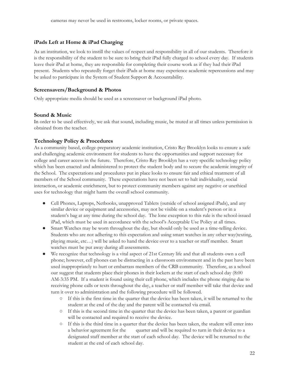#### <span id="page-21-0"></span>**iPads Left at Home & iPad Charging**

As an institution, we look to instill the values of respect and responsibility in all of our students. Therefore it is the responsibility of the student to be sure to bring their iPad fully charged to school every day. If students leave their iPad at home, they are responsible for completing their course work as if they had their iPad present. Students who repeatedly forget their iPads at home may experience academic repercussions and may be asked to participate in the System of Student Support & Accountability.

#### **Screensavers/Background & Photos**

Only appropriate media should be used as a screensaver or background iPad photo.

#### **Sound & Music**

In order to be used effectively, we ask that sound, including music, be muted at all times unless permission is obtained from the teacher.

#### **Technology Policy & Procedures**

As a community based, college-preparatory academic institution, Cristo Rey Brooklyn looks to ensure a safe and challenging academic environment for students to have the opportunities and support necessary for college and career access in the future. Therefore, Cristo Rey Brooklyn has a very specific technology policy which has been enacted and administered to protect the student body and to secure the academic integrity of the School. The expectations and procedures put in place looks to ensure fair and ethical treatment of all members of the School community. These expectations have not been set to halt individuality, social interaction, or academic enrichment, but to protect community members against any negative or unethical uses for technology that might harm the overall school community.

- Cell Phones, Laptops, Netbooks, unapproved Tablets (outside of school assigned iPads), and any similar device or equipment and accessories, may not be visible on a student's person or in a student's bag at any time during the school day. The lone exception to this rule is the school-issued iPad, which must be used in accordance with the school's Acceptable Use Policy at all times.
- Smart Watches may be worn throughout the day, but should only be used as a time-telling device. Students who are not adhering to this expectation and using smart watches in any other way(texting, playing music, etc…) will be asked to hand the device over to a teacher or staff member. Smart watches must be put away during all assessments.
- We recognize that technology is a vital aspect of 21st Century life and that all students own a cell phone; however, cell phones can be distracting in a classroom environment and in the past have been used inappropriately to hurt or embarrass members of the CRB community. Therefore, as a school our suggest that students place their phones in their lockers at the start of each school day (8:00 AM-3:35 PM. If a student is found using their cell phone, which includes the phone ringing due to receiving phone calls or texts throughout the day, a teacher or staff member will take that device and turn it over to administration and the following procedure will be followed.
	- If this is the first time in the quarter that the device has been taken, it will be returned to the student at the end of the day and the parent will be contacted via email.
	- If this is the second time in the quarter that the device has been taken, a parent or guardian will be contacted and required to receive the device.
	- If this is the third time in a quarter that the device has been taken, the student will enter into a behavior agreement for the quarter and will be required to turn in their device to a designated staff member at the start of each school day. The device will be returned to the student at the end of each school day.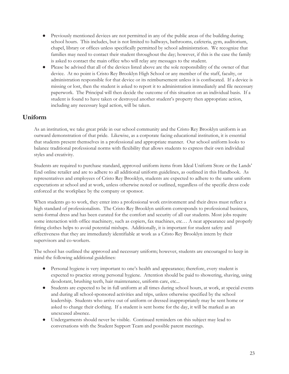- Previously mentioned devices are not permitted in any of the public areas of the building during school hours. This includes, but is not limited to hallways, bathrooms, cafeteria, gym, auditorium, chapel, library or offices unless specifically permitted by school administration. We recognize that families may need to contact their student throughout the day; however, if this is the case the family is asked to contact the main office who will relay any messages to the student.
- Please be advised that all of the devices listed above are the sole responsibility of the owner of that device. At no point is Cristo Rey Brooklyn High School or any member of the staff, faculty, or administration responsible for that device or its reimbursement unless it is confiscated. If a device is missing or lost, then the student is asked to report it to administration immediately and file necessary paperwork. The Principal will then decide the outcome of this situation on an individual basis. If a student is found to have taken or destroyed another student's property then appropriate action, including any necessary legal action, will be taken.

# <span id="page-22-0"></span>**Uniform**

As an institution, we take great pride in our school community and the Cristo Rey Brooklyn uniform is an outward demonstration of that pride. Likewise, as a corporate facing educational institution, it is essential that students present themselves in a professional and appropriate manner. Our school uniform looks to balance traditional professional norms with flexibility that allows students to express their own individual styles and creativity.

Students are required to purchase standard, approved uniform items from Ideal Uniform Store or the Lands' End online retailer and are to adhere to all additional uniform guidelines, as outlined in this Handbook. As representatives and employees of Cristo Rey Brooklyn, students are expected to adhere to the same uniform expectations at school and at work, unless otherwise noted or outlined, regardless of the specific dress code enforced at the workplace by the company or sponsor.

When students go to work, they enter into a professional work environment and their dress must reflect a high standard of professionalism. The Cristo Rey Brooklyn uniform corresponds to professional business, semi-formal dress and has been curated for the comfort and security of all our students. Most jobs require some interaction with office machinery, such as copiers, fax machines, etc… A neat appearance and properly fitting clothes helps to avoid potential mishaps. Additionally, it is important for student safety and effectiveness that they are immediately identifiable at work as a Cristo Rey Brooklyn intern by their supervisors and co-workers.

The school has outlined the approved and necessary uniform; however, students are encouraged to keep in mind the following additional guidelines:

- Personal hygiene is very important to one's health and appearance; therefore, every student is expected to practice strong personal hygiene. Attention should be paid to showering, shaving, using deodorant, brushing teeth, hair maintenance, uniform care, etc...
- Students are expected to be in full uniform at all times during school hours, at work, at special events and during all school-sponsored activities and trips, unless otherwise specified by the school leadership. Students who arrive out of uniform or dressed inappropriately may be sent home or asked to change their clothing. If a student is sent home for the day, it will be marked as an unexcused absence.
- Undergarments should never be visible. Continued reminders on this subject may lead to conversations with the Student Support Team and possible parent meetings.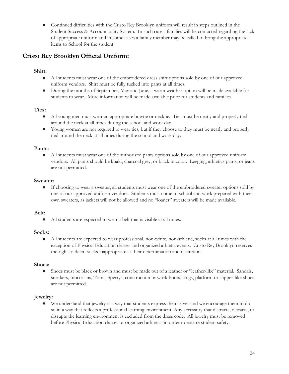● Continued difficulties with the Cristo Rey Brooklyn uniform will result in steps outlined in the Student Success & Accountability System. In such cases, families will be contacted regarding the lack of appropriate uniform and in some cases a family member may be called to bring the appropriate items to School for the student

# <span id="page-23-0"></span>**Cristo Rey Brooklyn Official Uniform:**

## **Shirt:**

- All students must wear one of the embroidered dress shirt options sold by one of our approved uniform vendors. Shirt must be fully tucked into pants at all times.
- During the months of September, May and June, a warm weather option will be made available for students to wear. More information will be made available prior for students and families.

## **Ties:**

- All young men must wear an appropriate bowtie or necktie. Ties must be neatly and properly tied around the neck at all times during the school and work day.
- Young women are not required to wear ties, but if they choose to they must be neatly and properly tied around the neck at all times during the school and work day.

## **Pants:**

● All students must wear one of the authorized pants options sold by one of our approved uniform vendors. All pants should be khaki, charcoal grey, or black in color. Legging, athletics pants, or jeans are not permitted.

## **Sweater:**

● If choosing to wear a sweater, all students must wear one of the embroidered sweater options sold by one of our approved uniform vendors. Students must come to school and work prepared with their own sweaters, as jackets will not be allowed and no "loaner" sweaters will be made available.

## **Belt:**

● All students are expected to wear a belt that is visible at all times.

# **Socks:**

● All students are expected to wear professional, non-white, non-athletic, socks at all times with the exception of Physical Education classes and organized athletic events. Cristo Rey Brooklyn reserves the right to deem socks inappropriate at their determination and discretion.

# **Shoes:**

● Shoes must be black or brown and must be made out of a leather or "leather-like" material. Sandals, sneakers, moccasins, Toms, Sperrys, construction or work boots, clogs, platform or slipper-like shoes are not permitted.

# **Jewelry:**

We understand that jewelry is a way that students express themselves and we encourage them to do so in a way that reflects a professional learning environment Any accessory that distracts, detracts, or disrupts the learning environment is excluded from the dress code. All jewelry must be removed before Physical Education classes or organized athletics in order to ensure student safety.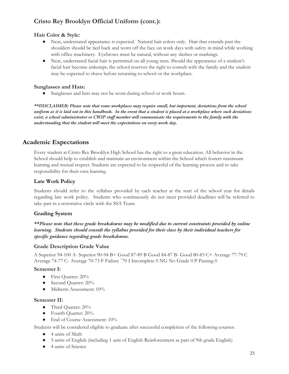# **Cristo Rey Brooklyn Official Uniform (cont.):**

## **Hair Color & Style:**

- Neat, understated appearance is expected. Natural hair colors only. Hair that extends past the shoulders should be tied back and worn off the face on work days with safety in mind while working with office machinery. Eyebrows must be natural, without any slashes or markings.
- Neat, understated facial hair is permitted on all young men. Should the appearance of a student's facial hair become unkempt, the school reserves the right to consult with the family and the student may be expected to shave before returning to school or the workplace.

## **Sunglasses and Hats:**

● Sunglasses and hats may not be worn during school or work hours.

*\*\*DISCLAIMER: Please note that some workplaces may require small, but important, deviations from the school* uniform as it is laid out in this handbook. In the event that a student is placed at a workplace where such deviations exist, a school administrator or CWSP staff member will communicate the requirements to the family with the *understanding that the student will meet the expectations on every work day.*

# <span id="page-24-0"></span>**Academic Expectations**

Every student at Cristo Rey Brooklyn High School has the right to a great education. All behavior in the School should help to establish and maintain an environment within the School which fosters maximum learning and mutual respect. Students are expected to be respectful of the learning process and to take responsibility for their own learning.

# <span id="page-24-1"></span>**Late Work Policy**

Students should refer to the syllabus provided by each teacher at the start of the school year for details regarding late work policy. Students who continuously do not meet provided deadlines will be referred to take part in a restorative circle with the SSA Team.

# <span id="page-24-2"></span>**Grading System**

*\*\*Please note that these grade breakdowns may be modified due to current constraints provided by online learning. Students should consult the syllabus provided for their class by their individual teachers for specific guidance regarding grade breakdowns.*

# **Grade Description Grade Value**

A Superior 94-100 A- Superior 90-94 B+ Good 87-89 B Good 84-87 B- Good 80-83 C+ Average 77-79 C Average 74-77 C- Average 70-73 F Failure ˂70 I Incomplete 0 NG No Grade 0 P Passing 0

## **Semester I:**

- First Quarter: 20%
- Second Quarter: 20%
- Midterm Assessment: 10%

## **Semester II:**

- Third Quarter: 20%
- Fourth Quarter: 20%
- End of Course Assessment: 10%

Students will be considered eligible to graduate after successful completion of the following courses:

- 4 units of Math
- 5 units of English (including 1 unit of English Reinforcement as part of 9th grade English)
- 4 units of Science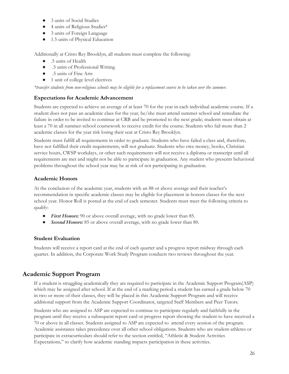- 3 units of Social Studies
- 4 units of Religious Studies\*
- 3 units of Foreign Language
- 1.5 units of Physical Education

Additionally at Cristo Rey Brooklyn, all students must complete the following:

- .5 units of Health
- .5 units of Professional Writing
- .5 units of Fine Arts
- 1 unit of college level electives

\*transfer students from non-religious schools may be eligible for a replacement course to be taken over the summer.

## <span id="page-25-0"></span>**Expectations for Academic Advancement**

Students are expected to achieve an average of at least 70 for the year in each individual academic course. If a student does not pass an academic class for the year, he/she must attend summer school and remediate the failure in order to be invited to continue at CRB and be promoted to the next grade; students must obtain at least a 70 in all summer-school coursework to receive credit for the course. Students who fail more than 2 academic classes for the year risk losing their seat at Cristo Rey Brooklyn.

Students must fulfill all requirements in order to graduate. Students who have failed a class and, therefore, have not fulfilled their credit requirements, will not graduate. Students who owe money, books, Christian service hours, CWSP workdays, or other such requirements will not receive a diploma or transcript until all requirements are met and might not be able to participate in graduation. Any student who presents behavioral problems throughout the school year may be at risk of not participating in graduation.

## <span id="page-25-1"></span>**Academic Honors**

At the conclusion of the academic year, students with an 88 or above average and their teacher's recommendation in specific academic classes may be eligible for placement in honors classes for the next school year. Honor Roll is posted at the end of each semester. Students must meet the following criteria to qualify:

- *First Honors:* 90 or above overall average, with no grade lower than 85.
- *Second Honors:* 85 or above overall average, with no grade lower than 80.

## <span id="page-25-2"></span>**Student Evaluation**

Students will receive a report card at the end of each quarter and a progress report midway through each quarter. In addition, the Corporate Work Study Program conducts two reviews throughout the year.

# <span id="page-25-3"></span>**Academic Support Program**

If a student is struggling academically they are required to participate in the Academic Support Program(ASP) which may be assigned after school. If at the end of a marking period a student has earned a grade below 70 in two or more of their classes, they will be placed in this Academic Support Program and will receive additional support from the Academic Support Coordinator, targeted Staff Members and Peer Tutors.

Students who are assigned to ASP are expected to continue to participate regularly and faithfully in the program until they receive a subsequent report card or progress report showing the student to have received a 70 or above in all classes. Students assigned to ASP are expected to attend every session of the program. Academic assistance takes precedence over all other school obligations. Students who are student-athletes or participate in extracurriculars should refer to the section entitled, "Athletic & Student Activities Expectations," to clarify how academic standing impacts participation in these activities.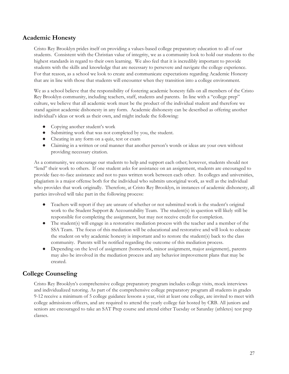# <span id="page-26-0"></span>**Academic Honesty**

Cristo Rey Brooklyn prides itself on providing a values-based college preparatory education to all of our students. Consistent with the Christian value of integrity, we as a community look to hold our students to the highest standards in regard to their own learning. We also feel that it is incredibly important to provide students with the skills and knowledge that are necessary to persevere and navigate the college experience. For that reason, as a school we look to create and communicate expectations regarding Academic Honesty that are in line with those that students will encounter when they transition into a college environment.

We as a school believe that the responsibility of fostering academic honesty falls on all members of the Cristo Rey Brooklyn community, including teachers, staff, students and parents. In line with a "college prep" culture, we believe that all academic work must be the product of the individual student and therefore we stand against academic dishonesty in any form. Academic dishonesty can be described as offering another individual's ideas or work as their own, and might include the following:

- Copying another student's work
- Submitting work that was not completed by you, the student.
- Cheating in any form on a quiz, test or exam
- Claiming in a written or oral manner that another person's words or ideas are your own without providing necessary citation.

As a community, we encourage our students to help and support each other; however, students should not "lend" their work to others. If one student asks for assistance on an assignment, students are encouraged to provide face-to-face assistance and not to pass written work between each other. In colleges and universities, plagiarism is a major offense both for the individual who submits unoriginal work, as well as the individual who provides that work originally. Therefore, at Cristo Rey Brooklyn, in instances of academic dishonesty, all parties involved will take part in the following process:

- Teachers will report if they are unsure of whether or not submitted work is the student's original work to the Student Support & Accountability Team. The student(s) in question will likely still be responsible for completing the assignment, but may not receive credit for completion.
- The student(s) will engage in a restorative mediation process with the teacher and a member of the SSA Team. The focus of this mediation will be educational and restorative and will look to educate the student on why academic honesty is important and to restore the student(s) back to the class community. Parents will be notified regarding the outcome of this mediation process.
- Depending on the level of assignment (homework, minor assignment, major assignment), parents may also be involved in the mediation process and any behavior improvement plans that may be created.

# <span id="page-26-1"></span>**College Counseling**

Cristo Rey Brooklyn's comprehensive college preparatory program includes college visits, mock interviews and individualized tutoring. As part of the comprehensive college preparatory program all students in grades 9-12 receive a minimum of 5 college guidance lessons a year, visit at least one college, are invited to meet with college admissions officers, and are required to attend the yearly college fair hosted by CRB. All juniors and seniors are encouraged to take an SAT Prep course and attend either Tuesday or Saturday (athletes) test prep classes.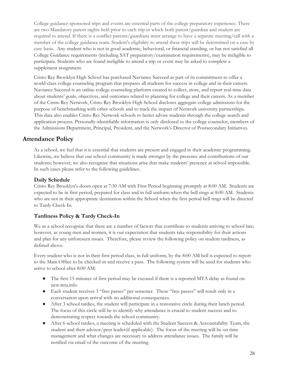College guidance-sponsored trips and events are essential parts of the college preparatory experience. There are two Mandatory parent nights held prior to each trip in which both parent/guardian and student are required to attend. If there is a conflict parents/guardians must arrange to have a separate meeting/call with a member of the college guidance team. Student's eligibility to attend these trips will be determined on a case by case basis. Any student who is not in good academic, behavioral, or financial standing, or has not satisfied all College Guidance requirements (including SAT preparatory/examination requirements), may be ineligible to participate. Students who are found ineligible to attend a trip or event may be asked to complete a supplement assignment.

Cristo Rey Brooklyn High School has purchased Naviance Succeed as part of its commitment to offer a world-class college counseling program that prepares all students for success in college and in their careers. Naviance Succeed is an online college counseling platform created to collect, store, and report real-time data about students' goals, objectives, and outcomes related to planning for college and their careers. As a member of the Cristo Rey Network, Cristo Rey Brooklyn High School discloses aggregate college admissions for the purpose of benchmarking with other schools and to track the impact of Network university partnerships. This data also enables Cristo Rey Network schools to better advise students through the college search and application process. Personally-identifiable information is only disclosed to the college counselor, members of the Admissions Department, Principal, President, and the Network's Director of Postsecondary Initiatives.

# <span id="page-27-0"></span>**Attendance Policy**

As a school, we feel that it is essential that students are present and engaged in their academic programming. Likewise, we believe that our school community is made stronger by the presence and contributions of our students; however, we also recognize that situations arise that make students' presence at school impossible. In such cases please refer to the following guidelines.

## **Daily Schedule**

Cristo Rey Brooklyn's doors open at 7:30 AM with First Period beginning promptly at 8:00 AM. Students are expected to be in first period, prepared for class and in full uniform when the bell rings at 8:00 AM. Students who are not in their appropriate destination within the School when the first period bell rings will be directed to Tardy Check-In.

# <span id="page-27-1"></span>**Tardiness Policy & Tardy Check-In**

We as a school recognize that there are a number of factors that contribute to students arriving to school late; however, as young men and women, it is our expectation that students take responsibility for their actions and plan for any unforeseen issues. Therefore, please review the following policy on student tardiness, as defined above.

Every student who is not in their first period class, in full uniform, by the 8:00 AM bell is expected to report to the Main Office to be checked-in and receive a pass. The following system will be used for students who arrive to school after 8:00 AM:

- The first 15 minutes of first period may be excused if there is a reported MTA delay as found on new.mta.info
- Each student receives 3 "free passes" per semester. These "free passes" will result only in a conversation upon arrival with no additional consequences.
- After 3 school tardies, the student will participate in a restorative circle during their lunch period. The focus of this circle will be to identify why attendance is crucial to student success and to demonstrating respect towards the school community.
- After 6 school tardies, a meeting is scheduled with the Student Success & Accountability Team, the student and their advisor/peer leader(if applicable). The focus of the meeting will be on time management and what changes are necessary to address attendance issues. The family will be notified via email of the outcome of the meeting.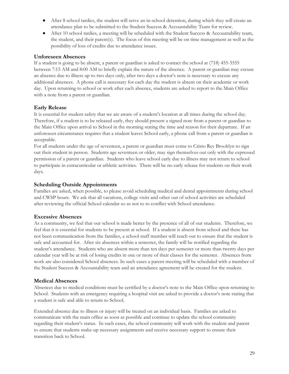- After 8 school tardies, the student will serve an in-school detention, during which they will create an attendance plan to be submitted to the Student Success & Accountability Team for review.
- After 10 school tardies, a meeting will be scheduled with the Student Success & Accountability team, the student, and their parent(s). The focus of this meeting will be on time management as well as the possibility of loss of credits due to attendance issues.

#### **Unforeseen Absences**

If a student is going to be absent, a parent or guardian is asked to contact the school at (718) 455-3555 between 7:15 AM and 8:00 AM to briefly explain the nature of the absence. A parent or guardian may excuse an absence due to illness up to two days only, after two days a doctor's note is necessary to excuse any additional absences. A phone call is necessary for each day the student is absent on their academic or work day. Upon returning to school or work after each absence, students are asked to report to the Main Office with a note from a parent or guardian.

## **Early Release**

It is essential for student safety that we are aware of a student's location at all times during the school day. Therefore, if a student is to be released early, they should present a signed note from a parent or guardian to the Main Office upon arrival to School in the morning stating the time and reason for their departure. If an unforeseen circumstance requires that a student leaves School early, a phone call from a parent or guardian is acceptable.

For all students under the age of seventeen, a parent or guardian must come to Cristo Rey Brooklyn to sign out their student in person. Students age seventeen or older, may sign themselves out only with the expressed permission of a parent or guardian. Students who leave school early due to illness may not return to school to participate in extracurricular or athletic activities. There will be no early release for students on their work days.

#### **Scheduling Outside Appointments**

Families are asked, when possible, to please avoid scheduling medical and dental appointments during school and CWSP hours. We ask that all vacations, college visits and other out of school activities are scheduled after reviewing the official School calendar so as not to to conflict with School attendance.

#### **Excessive Absences**

As a community, we feel that our school is made better by the presence of all of our students. Therefore, we feel that it is essential for students to be present at school. If a student is absent from school and there has not been communication from the families, a school staff member will reach out to ensure that the student is safe and accounted for. After six absences within a semester, the family will be notified regarding the student's attendance. Students who are absent more than ten days per semester or more than twenty days per calendar year will be at risk of losing credits in one or more of their classes for the semester. Absences from work are also considered School absences. In such cases a parent meeting will be scheduled with a member of the Student Success & Accountability team and an attendance agreement will be created for the student.

#### **Medical Absences**

Absences due to medical conditions must be certified by a doctor's note to the Main Office upon returning to School. Students with an emergency requiring a hospital visit are asked to provide a doctor's note stating that a student is safe and able to return to School.

Extended absence due to illness or injury will be treated on an individual basis. Families are asked to communicate with the main office as soon as possible and continue to update the school community regarding their student's status. In such cases, the school community will work with the student and parent to ensure that students make-up necessary assignments and receive necessary support to ensure their transition back to School.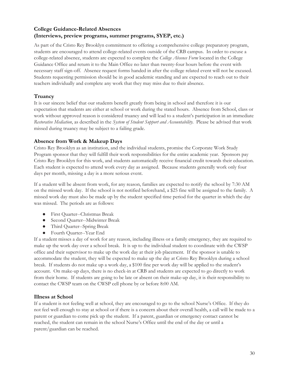# <span id="page-29-0"></span>**College Guidance-Related Absences (Interviews, preview programs, summer programs, SYEP, etc.)**

As part of the Cristo Rey Brooklyn commitment to offering a comprehensive college preparatory program, students are encouraged to attend college-related events outside of the CRB campus. In order to excuse a college-related absence, students are expected to complete the *College Absence Form* located in the College Guidance Office and return it to the Main Office no later than twenty-four hours before the event with necessary staff sign-off. Absence request forms handed in after the college related event will not be excused. Students requesting permission should be in good academic standing and are expected to reach out to their teachers individually and complete any work that they may miss due to their absence.

# **Truancy**

It is our sincere belief that our students benefit greatly from being in school and therefore it is our expectation that students are either at school or work during the stated hours. Absence from School, class or work without approved reason is considered truancy and will lead to a student's participation in an immediate *Restorative Mediation*, as described in the *System of Student Support and Accountability.* Please be advised that work missed during truancy may be subject to a failing grade.

## **Absence from Work & Makeup Days**

Cristo Rey Brooklyn as an institution, and the individual students, promise the Corporate Work Study Program sponsor that they will fulfill their work responsibilities for the entire academic year. Sponsors pay Cristo Rey Brooklyn for this work, and students automatically receive financial credit towards their education. Each student is expected to attend work every day as assigned. Because students generally work only four days per month, missing a day is a more serious event.

If a student will be absent from work, for any reason, families are expected to notify the school by 7:30 AM on the missed work day. If the school is not notified beforehand, a \$25 fine will be assigned to the family. A missed work day must also be made up by the student specified time period for the quarter in which the day was missed. The periods are as follows:

- First Quarter--Christmas Break
- Second Quarter--Midwinter Break
- Third Quarter--Spring Break
- Fourth Quarter--Year End

If a student misses a day of work for any reason, including illness or a family emergency, they are required to make up the work day over a school break. It is up to the individual student to coordinate with the CWSP office and their supervisor to make up the work day at their job placement. If the sponsor is unable to accommodate the student, they will be expected to make up the day at Cristo Rey Brooklyn during a school break. If students do not make up a work day, a \$100 fine per work day will be applied to the student's account. On make-up days, there is no check-in at CRB and students are expected to go directly to work from their home. If students are going to be late or absent on their make-up day, it is their responsibility to contact the CWSP team on the CWSP cell phone by or before 8:00 AM.

## **Illness at School**

If a student is not feeling well at school, they are encouraged to go to the school Nurse's Office. If they do not feel well enough to stay at school or if there is a concern about their overall health, a call will be made to a parent or guardian to come pick up the student. If a parent, guardian or emergency contact cannot be reached, the student can remain in the school Nurse's Office until the end of the day or until a parent/guardian can be reached.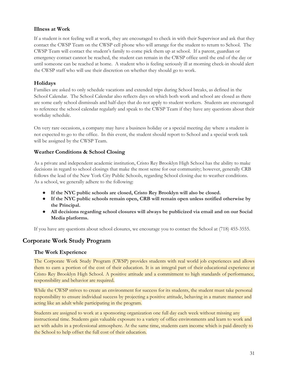#### <span id="page-30-0"></span>**Illness at Work**

If a student is not feeling well at work, they are encouraged to check in with their Supervisor and ask that they contact the CWSP Team on the CWSP cell phone who will arrange for the student to return to School. The CWSP Team will contact the student's family to come pick them up at school. If a parent, guardian or emergency contact cannot be reached, the student can remain in the CWSP office until the end of the day or until someone can be reached at home. A student who is feeling seriously ill at morning check-in should alert the CWSP staff who will use their discretion on whether they should go to work.

## **Holidays**

Families are asked to only schedule vacations and extended trips during School breaks, as defined in the School Calendar. The School Calendar also reflects days on which both work and school are closed as there are some early school dismissals and half-days that do not apply to student workers. Students are encouraged to reference the school calendar regularly and speak to the CWSP Team if they have any questions about their workday schedule.

On very rare occasions, a company may have a business holiday or a special meeting day where a student is not expected to go to the office. In this event, the student should report to School and a special work task will be assigned by the CWSP Team.

#### <span id="page-30-1"></span>**Weather Conditions & School Closing**

As a private and independent academic institution, Cristo Rey Brooklyn High School has the ability to make decisions in regard to school closings that make the most sense for our community; however, generally CRB follows the lead of the New York City Public Schools, regarding School closing due to weather conditions. As a school, we generally adhere to the following:

- **● If the NYC public schools are closed, Cristo Rey Brooklyn will also be closed.**
- **● If the NYC public schools remain open, CRB will remain open unless notified otherwise by the Principal.**
- **● All decisions regarding school closures will always be publicized via email and on our Social Media platforms.**

<span id="page-30-2"></span>If you have any questions about school closures, we encourage you to contact the School at (718) 455-3555.

# **Corporate Work Study Program**

#### <span id="page-30-3"></span>**The Work Experience**

The Corporate Work Study Program (CWSP) provides students with real world job experiences and allows them to earn a portion of the cost of their education. It is an integral part of their educational experience at Cristo Rey Brooklyn High School. A positive attitude and a commitment to high standards of performance, responsibility and behavior are required.

While the CWSP strives to create an environment for success for its students, the student must take personal responsibility to ensure individual success by projecting a positive attitude, behaving in a mature manner and acting like an adult while participating in the program.

Students are assigned to work at a sponsoring organization one full day each week without missing any instructional time. Students gain valuable exposure to a variety of office environments and learn to work and act with adults in a professional atmosphere. At the same time, students earn income which is paid directly to the School to help offset the full cost of their education.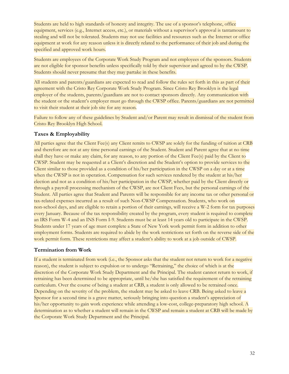Students are held to high standards of honesty and integrity. The use of a sponsor's telephone, office equipment, services (e.g., Internet access, etc.), or materials without a supervisor's approval is tantamount to stealing and will not be tolerated. Students may not use facilities and resources such as the Internet or office equipment at work for any reason unless it is directly related to the performance of their job and during the specified and approved work hours.

Students are employees of the Corporate Work Study Program and not employees of the sponsors. Students are not eligible for sponsor benefits unless specifically told by their supervisor and agreed to by the CWSP. Students should never presume that they may partake in these benefits.

All students and parents/guardians are expected to read and follow the rules set forth in this as part of their agreement with the Cristo Rey Corporate Work Study Program. Since Cristo Rey Brooklyn is the legal employer of the students, parents/guardians are not to contact sponsors directly. Any communication with the student or the student's employer must go through the CWSP office. Parents/guardians are not permitted to visit their student at their job site for any reason.

Failure to follow any of these guidelines by Student and/or Parent may result in dismissal of the student from Cristo Rey Brooklyn High School.

#### <span id="page-31-0"></span>**Taxes & Employability**

All parties agree that the Client Fee(s) any Client remits to CWSP are solely for the funding of tuition at CRB and therefore are not at any time personal earnings of the Student. Student and Parent agree that at no time shall they have or make any claim, for any reason, to any portion of the Client Fee(s) paid by the Client to CWSP. Student may be requested at a Client's discretion and the Student's option to provide services to the Client similar to those provided as a condition of his/her participation in the CWSP on a day or at a time when the CWSP is not in operation. Compensation for such services rendered by the student at his/her election and not as a condition of his/her participation in the CWSP, whether paid by the Client directly or through a payroll processing mechanism of the CWSP, are not Client Fees, but the personal earnings of the Student. All parties agree that Student and Parents will be responsible for any income tax or other personal or tax-related expenses incurred as a result of such Non-CWSP Compensation. Students, who work on non-school days, and are eligible to retain a portion of their earnings, will receive a W-2 form for tax purposes every January. Because of the tax responsibility created by the program, every student is required to complete an IRS Form W-4 and an INS Form I-9. Students must be at least 14 years old to participate in the CWSP. Students under 17 years of age must complete a State of New York work permit form in addition to other employment forms. Students are required to abide by the work restrictions set forth on the reverse side of the work permit form. These restrictions may affect a student's ability to work at a job outside of CWSP.

#### <span id="page-31-1"></span>**Termination from Work**

If a student is terminated from work (i.e., the Sponsor asks that the student not return to work for a negative reason), the student is subject to expulsion or to undergo "Retraining," the choice of which is at the discretion of the Corporate Work Study Department and the Principal. The student cannot return to work, if retraining has been determined to be appropriate, until he/she has satisfied the requirement of the retraining curriculum. Over the course of being a student at CRB, a student is only allowed to be retrained once. Depending on the severity of the problem, the student may be asked to leave CRB. Being asked to leave a Sponsor for a second time is a grave matter, seriously bringing into question a student's appreciation of his/her opportunity to gain work experience while attending a low-cost, college-preparatory high school. A determination as to whether a student will remain in the CWSP and remain a student at CRB will be made by the Corporate Work Study Department and the Principal.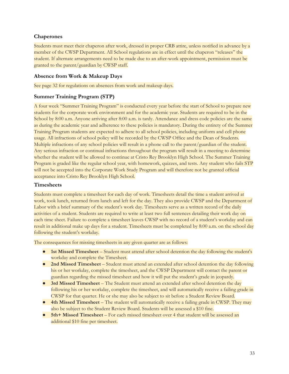## **Chaperones**

Students must meet their chaperon after work, dressed in proper CRB attire, unless notified in advance by a member of the CWSP Department. All School regulations are in effect until the chaperon "releases" the student. If alternate arrangements need to be made due to an after-work appointment, permission must be granted to the parent/guardian by CWSP staff.

#### <span id="page-32-0"></span>**Absence from Work & Makeup Days**

<span id="page-32-1"></span>See page 32 for regulations on absences from work and makeup days.

#### **Summer Training Program (STP)**

A four week "Summer Training Program" is conducted every year before the start of School to prepare new students for the corporate work environment and for the academic year. Students are required to be in the School by 8:00 a.m. Anyone arriving after 8:00 a.m. is tardy. Attendance and dress code policies are the same as during the academic year and adherence to these policies is mandatory. During the entirety of the Summer Training Program students are expected to adhere to all school policies, including uniform and cell phone usage. All infractions of school policy will be recorded by the CWSP Office and the Dean of Students. Multiple infractions of any school policies will result in a phone call to the parent/guardian of the student. Any serious infraction or continual infractions throughout the program will result in a meeting to determine whether the student will be allowed to continue at Cristo Rey Brooklyn High School. The Summer Training Program is graded like the regular school year, with homework, quizzes, and tests. Any student who fails STP will not be accepted into the Corporate Work Study Program and will therefore not be granted official acceptance into Cristo Rey Brooklyn High School.

#### <span id="page-32-2"></span>**Timesheets**

Students must complete a timesheet for each day of work. Timesheets detail the time a student arrived at work, took lunch, returned from lunch and left for the day. They also provide CWSP and the Department of Labor with a brief summary of the student's work day. Timesheets serve as a written record of the daily activities of a student. Students are required to write at least two full sentences detailing their work day on each time sheet. Failure to complete a timesheet leaves CWSP with no record of a student's workday and can result in additional make up days for a student. Timesheets must be completed by 8:00 a.m. on the school day following the student's workday.

The consequences for missing timesheets in any given quarter are as follows:

- **1st Missed Timesheet** Student must attend after school detention the day following the student's workday and complete the Timesheet.
- **2nd Missed Timesheet** Student must attend an extended after school detention the day following his or her workday, complete the timesheet, and the CWSP Department will contact the parent or guardian regarding the missed timesheet and how it will put the student's grade in jeopardy.
- **3rd Missed Timesheet** The Student must attend an extended after school detention the day following his or her workday, complete the timesheet, and will automatically receive a failing grade in CWSP for that quarter. He or she may also be subject to sit before a Student Review Board.
- **4th Missed Timesheet** The student will automatically receive a failing grade in CWSP. They may also be subject to the Student Review Board. Students will be assessed a \$10 fine.
- **5th+ Missed Timesheet** For each missed timesheet over 4 that student will be assessed an additional \$10 fine per timesheet.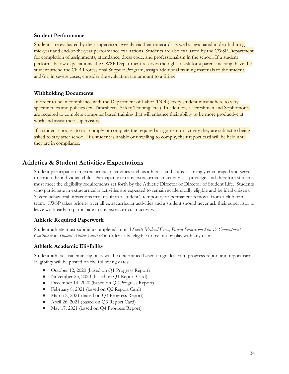#### <span id="page-33-0"></span>**Student Performance**

Students are evaluated by their supervisors weekly via their timecards as well as evaluated in depth during mid-year and end-of-the-year performance evaluations. Students are also evaluated by the CWSP Department for completion of assignments, attendance, dress code, and professionalism in the school. If a student performs below expectations, the CWSP Department reserves the right to ask for a parent meeting, have the student attend the CRB Professional Support Program, assign additional training materials to the student, and/or, in severe cases, consider the evaluation tantamount to a firing.

#### **Withholding Documents**

In order to be in compliance with the Department of Labor (DOL) every student must adhere to very specific rules and policies (ex. Timesheets, Safety Training, etc.). In addition, all Freshmen and Sophomores are required to complete computer based training that will enhance their ability to be more productive at work and assist their supervisors.

If a student chooses to not comply or complete the required assignment or activity they are subject to being asked to stay after school. If a student is unable or unwilling to comply, their report card will be held until they are in compliance.

# <span id="page-33-1"></span>**Athletics & Student Activities Expectations**

Student participation in extracurricular activities such as athletics and clubs is strongly encouraged and serves to enrich the individual child. Participation in any extracurricular activity is a privilege, and therefore students must meet the eligibility requirements set forth by the Athletic Director or Director of Student Life. Students who participate in extracurricular activities are expected to remain academically eligible and be ideal citizens. Severe behavioral infractions may result in a student's temporary or permanent removal from a club or a team. CWSP takes priority over all extracurricular activities and a student should never ask their supervisor to leave work early to participate in any extracurricular activity.

## <span id="page-33-2"></span>**Athletic Required Paperwork**

Student-athlete must submit a completed annual *Sports Medical Form*, *Parent Permission Slip & Commitment Contract* and *Student-Athlete Contract* in order to be eligible to try-out or play with any team.

#### <span id="page-33-3"></span>**Athletic Academic Eligibility**

Student-athlete academic eligibility will be determined based on grades from progress-report and report-card. Eligibility will be posted on the following dates:

- October 12, 2020 (based on Q1 Progress Report)
- November 23, 2020 (based on Q1 Report Card)
- December 14, 2020 (based on Q2 Progress Report)
- February 8, 2021 (based on Q2 Report Card)
- March 8, 2021 (based on Q3 Progress Report)
- April 26, 2021 (based on Q3 Report Card)
- May 17, 2021 (based on Q4 Progress Report)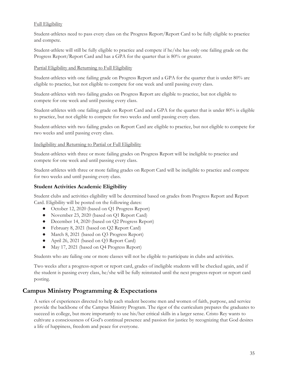#### Full Eligibility

Student-athletes need to pass every class on the Progress Report/Report Card to be fully eligible to practice and compete.

Student-athlete will still be fully eligible to practice and compete if he/she has only one failing grade on the Progress Report/Report Card and has a GPA for the quarter that is 80% or greater.

#### Partial Eligibility and Returning to Full Eligibility

Student-athletes with one failing grade on Progress Report and a GPA for the quarter that is under 80% are eligible to practice, but not eligible to compete for one week and until passing every class.

Student-athletes with two failing grades on Progress Report are eligible to practice, but not eligible to compete for one week and until passing every class.

Student-athletes with one failing grade on Report Card and a GPA for the quarter that is under 80% is eligible to practice, but not eligible to compete for two weeks and until passing every class.

Student-athletes with two failing grades on Report Card are eligible to practice, but not eligible to compete for two weeks and until passing every class.

#### Ineligibility and Returning to Partial or Full Eligibility

Student-athletes with three or more failing grades on Progress Report will be ineligible to practice and compete for one week and until passing every class.

Student-athletes with three or more failing grades on Report Card will be ineligible to practice and compete for two weeks and until passing every class.

## <span id="page-34-0"></span>**Student Activities Academic Eligibility**

Student clubs and activities eligibility will be determined based on grades from Progress Report and Report Card. Eligibility will be posted on the following dates:

- October 12, 2020 (based on Q1 Progress Report)
- November 23, 2020 (based on Q1 Report Card)
- December 14, 2020 (based on Q2 Progress Report)
- February 8, 2021 (based on Q2 Report Card)
- March 8, 2021 (based on Q3 Progress Report)
- April 26, 2021 (based on Q3 Report Card)
- May 17, 2021 (based on Q4 Progress Report)

Students who are failing one or more classes will not be eligible to participate in clubs and activities.

Two weeks after a progress-report or report card, grades of ineligible students will be checked again, and if the student is passing every class, he/she will be fully reinstated until the next progress-report or report card posting.

# <span id="page-34-1"></span>**Campus Ministry Programming & Expectations**

A series of experiences directed to help each student become men and women of faith, purpose, and service provide the backbone of the Campus Ministry Program. The rigor of the curriculum prepares the graduates to succeed in college, but more importantly to use his/her critical skills in a larger sense. Cristo Rey wants to cultivate a consciousness of God's continual presence and passion for justice by recognizing that God desires a life of happiness, freedom and peace for everyone.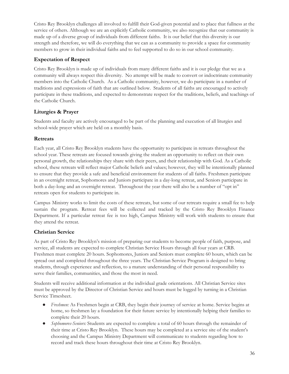Cristo Rey Brooklyn challenges all involved to fulfill their God-given potential and to place that fullness at the service of others. Although we are an explicitly Catholic community, we also recognize that our community is made up of a diverse group of individuals from different faiths. It is our belief that this diversity is our strength and therefore, we will do everything that we can as a community to provide a space for community members to grow in their individual faiths and to feel supported to do so in our school community.

# <span id="page-35-0"></span>**Expectation of Respect**

Cristo Rey Brooklyn is made up of individuals from many different faiths and it is our pledge that we as a community will always respect this diversity. No attempt will be made to convert or indoctrinate community members into the Catholic Church. As a Catholic community, however, we do participate in a number of traditions and expressions of faith that are outlined below. Students of all faiths are encouraged to actively participate in these traditions, and expected to demonstrate respect for the traditions, beliefs, and teachings of the Catholic Church.

## <span id="page-35-1"></span>**Liturgies & Prayer**

Students and faculty are actively encouraged to be part of the planning and execution of all liturgies and school-wide prayer which are held on a monthly basis.

## <span id="page-35-2"></span>**Retreats**

Each year, all Cristo Rey Brooklyn students have the opportunity to participate in retreats throughout the school year. These retreats are focused towards giving the student an opportunity to reflect on their own personal growth, the relationships they share with their peers, and their relationship with God. As a Catholic school, these retreats will reflect major Catholic beliefs and values; however, they will be intentionally planned to ensure that they provide a safe and beneficial environment for students of all faiths. Freshmen participate in an overnight retreat, Sophomores and Juniors participate in a day-long retreat, and Seniors participate in both a day-long and an overnight retreat. Throughout the year there will also be a number of "opt in" retreats open for students to participate in.

Campus Ministry works to limit the costs of these retreats, but some of our retreats require a small fee to help sustain the program. Retreat fees will be collected and tracked by the Cristo Rey Brooklyn Finance Department. If a particular retreat fee is too high, Campus Ministry will work with students to ensure that they attend the retreat.

## <span id="page-35-3"></span>**Christian Service**

As part of Cristo Rey Brooklyn's mission of preparing our students to become people of faith, purpose, and service, all students are expected to complete Christian Service Hours through all four years at CRB. Freshmen must complete 20 hours. Sophomores, Juniors and Seniors must complete 60 hours, which can be spread out and completed throughout the three years. The Christian Service Program is designed to bring students, through experience and reflection, to a mature understanding of their personal responsibility to serve their families, communities, and those the most in need.

Students will receive additional information at the individual grade orientations. All Christian Service sites must be approved by the Director of Christian Service and hours must be logged by turning in a Christian Service Timesheet.

- *Freshmen:* As Freshmen begin at CRB, they begin their journey of service at home. Service begins at home, so freshmen lay a foundation for their future service by intentionally helping their families to complete their 20 hours.
- *Sophomores-Seniors:* Students are expected to complete a total of 60 hours through the remainder of their time at Cristo Rey Brooklyn. These hours may be completed at a service site of the student's choosing and the Campus Ministry Department will communicate to students regarding how to record and track these hours throughout their time at Cristo Rey Brooklyn.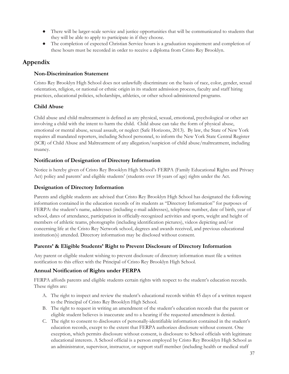- There will be larger-scale service and justice opportunities that will be communicated to students that they will be able to apply to participate in if they choose.
- The completion of expected Christian Service hours is a graduation requirement and completion of these hours must be recorded in order to receive a diploma from Cristo Rey Brooklyn.

# <span id="page-36-0"></span>**Appendix**

# <span id="page-36-1"></span>**Non-Discrimination Statement**

Cristo Rey Brooklyn High School does not unlawfully discriminate on the basis of race, color, gender, sexual orientation, religion, or national or ethnic origin in its student admission process, faculty and staff hiring practices, educational policies, scholarships, athletics, or other school-administered programs.

# <span id="page-36-2"></span>**Child Abuse**

Child abuse and child maltreatment is defined as any physical, sexual, emotional, psychological or other act involving a child with the intent to harm the child. Child abuse can take the form of physical abuse, emotional or mental abuse, sexual assault, or neglect (Safe Horizons, 2013). By law, the State of New York requires all mandated reporters, including School personnel, to inform the New York State Central Register (SCR) of Child Abuse and Maltreatment of any allegation/suspicion of child abuse/maltreatment, including truancy.

# <span id="page-36-3"></span>**Notification of Designation of Directory Information**

Notice is hereby given of Cristo Rey Brooklyn High School's FERPA (Family Educational Rights and Privacy Act) policy and parents' and eligible students' (students over 18 years of age) rights under the Act.

# <span id="page-36-4"></span>**Designation of Directory Information**

Parents and eligible students are advised that Cristo Rey Brooklyn High School has designated the following information contained in the education records of its students as "Directory Information" for purposes of FERPA: the student's name, addresses (including e-mail addresses), telephone number, date of birth, year of school, dates of attendance, participation in officially-recognized activities and sports, weight and height of members of athletic teams, photographs (including identification pictures), videos depicting and/or concerning life at the Cristo Rey Network school, degrees and awards received, and previous educational institution(s) attended. Directory information may be disclosed without consent.

# <span id="page-36-5"></span>**Parents' & Eligible Students' Right to Prevent Disclosure of Directory Information**

Any parent or eligible student wishing to prevent disclosure of directory information must file a written notification to this effect with the Principal of Cristo Rey Brooklyn High School.

# <span id="page-36-6"></span>**Annual Notification of Rights under FERPA**

FERPA affords parents and eligible students certain rights with respect to the student's education records. These rights are:

- A. The right to inspect and review the student's educational records within 45 days of a written request to the Principal of Cristo Rey Brooklyn High School.
- B. The right to request in writing an amendment of the student's education records that the parent or eligible student believes is inaccurate and to a hearing if the requested amendment is denied.
- C. The right to consent to disclosures of personally-identifiable information contained in the student's education records, except to the extent that FERPA authorizes disclosure without consent. One exception, which permits disclosure without consent, is disclosure to School officials with legitimate educational interests. A School official is a person employed by Cristo Rey Brooklyn High School as an administrator, supervisor, instructor, or support staff member (including health or medical staff